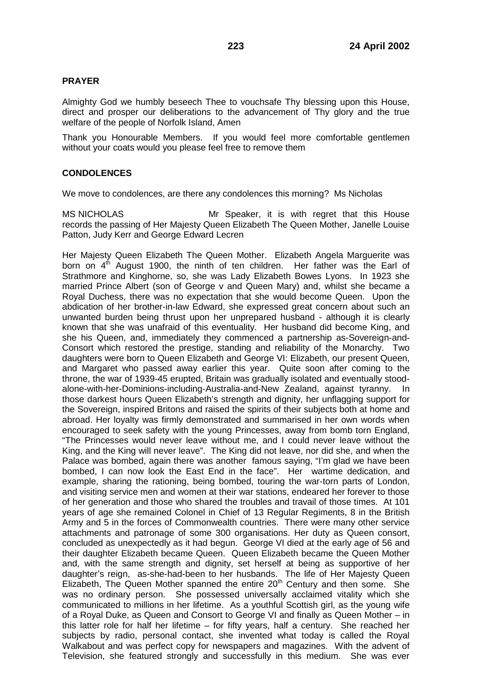# **PRAYER**

Almighty God we humbly beseech Thee to vouchsafe Thy blessing upon this House, direct and prosper our deliberations to the advancement of Thy glory and the true welfare of the people of Norfolk Island, Amen

Thank you Honourable Members. If you would feel more comfortable gentlemen without your coats would you please feel free to remove them

# **CONDOLENCES**

We move to condolences, are there any condolences this morning? Ms Nicholas

MS NICHOLAS Mr Speaker, it is with regret that this House records the passing of Her Majesty Queen Elizabeth The Queen Mother, Janelle Louise Patton, Judy Kerr and George Edward Lecren

Her Majesty Queen Elizabeth The Queen Mother. Elizabeth Angela Marguerite was born on  $4<sup>th</sup>$  August 1900, the ninth of ten children. Her father was the Earl of Strathmore and Kinghorne, so, she was Lady Elizabeth Bowes Lyons. In 1923 she married Prince Albert (son of George v and Queen Mary) and, whilst she became a Royal Duchess, there was no expectation that she would become Queen. Upon the abdication of her brother-in-law Edward, she expressed great concern about such an unwanted burden being thrust upon her unprepared husband - although it is clearly known that she was unafraid of this eventuality. Her husband did become King, and she his Queen, and, immediately they commenced a partnership as-Sovereign-and-Consort which restored the prestige, standing and reliability of the Monarchy. Two daughters were born to Queen Elizabeth and George VI: Elizabeth, our present Queen, and Margaret who passed away earlier this year. Quite soon after coming to the throne, the war of 1939-45 erupted, Britain was gradually isolated and eventually stoodalone-with-her-Dominions-including-Australia-and-New Zealand, against tyranny. In those darkest hours Queen Elizabeth's strength and dignity, her unflagging support for the Sovereign, inspired Britons and raised the spirits of their subjects both at home and abroad. Her loyalty was firmly demonstrated and summarised in her own words when encouraged to seek safety with the young Princesses, away from bomb torn England, "The Princesses would never leave without me, and I could never leave without the King, and the King will never leave". The King did not leave, nor did she, and when the Palace was bombed, again there was another famous saying, "I'm glad we have been bombed, I can now look the East End in the face". Her wartime dedication, and example, sharing the rationing, being bombed, touring the war-torn parts of London, and visiting service men and women at their war stations, endeared her forever to those of her generation and those who shared the troubles and travail of those times. At 101 years of age she remained Colonel in Chief of 13 Regular Regiments, 8 in the British Army and 5 in the forces of Commonwealth countries. There were many other service attachments and patronage of some 300 organisations. Her duty as Queen consort, concluded as unexpectedly as it had begun. George VI died at the early age of 56 and their daughter Elizabeth became Queen. Queen Elizabeth became the Queen Mother and, with the same strength and dignity, set herself at being as supportive of her daughter's reign, as-she-had-been to her husbands. The life of Her Majesty Queen Elizabeth, The Queen Mother spanned the entire  $20<sup>th</sup>$  Century and then some. She was no ordinary person. She possessed universally acclaimed vitality which she communicated to millions in her lifetime. As a youthful Scottish girl, as the young wife of a Royal Duke, as Queen and Consort to George VI and finally as Queen Mother – in this latter role for half her lifetime – for fifty years, half a century. She reached her subjects by radio, personal contact, she invented what today is called the Royal Walkabout and was perfect copy for newspapers and magazines. With the advent of Television, she featured strongly and successfully in this medium. She was ever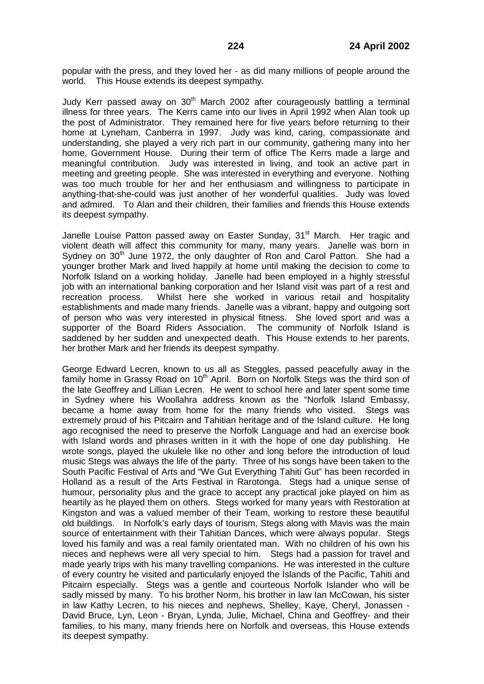popular with the press, and they loved her - as did many millions of people around the world. This House extends its deepest sympathy.

Judy Kerr passed away on  $30<sup>th</sup>$  March 2002 after courageously battling a terminal illness for three years. The Kerrs came into our lives in April 1992 when Alan took up the post of Administrator. They remained here for five years before returning to their home at Lyneham, Canberra in 1997. Judy was kind, caring, compassionate and understanding, she played a very rich part in our community, gathering many into her home, Government House. During their term of office The Kerrs made a large and meaningful contribution. Judy was interested in living, and took an active part in meeting and greeting people. She was interested in everything and everyone. Nothing was too much trouble for her and her enthusiasm and willingness to participate in anything-that-she-could was just another of her wonderful qualities. Judy was loved and admired. To Alan and their children, their families and friends this House extends its deepest sympathy.

Janelle Louise Patton passed away on Easter Sunday, 31<sup>st</sup> March. Her tragic and violent death will affect this community for many, many years. Janelle was born in Sydney on 30<sup>th</sup> June 1972, the only daughter of Ron and Carol Patton. She had a younger brother Mark and lived happily at home until making the decision to come to Norfolk Island on a working holiday. Janelle had been employed in a highly stressful job with an international banking corporation and her Island visit was part of a rest and recreation process. Whilst here she worked in various retail and hospitality establishments and made many friends. Janelle was a vibrant, happy and outgoing sort of person who was very interested in physical fitness. She loved sport and was a supporter of the Board Riders Association. The community of Norfolk Island is saddened by her sudden and unexpected death. This House extends to her parents, her brother Mark and her friends its deepest sympathy.

George Edward Lecren, known to us all as Steggles, passed peacefully away in the family home in Grassy Road on 10<sup>th</sup> April. Born on Norfolk Stegs was the third son of the late Geoffrey and Lillian Lecren. He went to school here and later spent some time in Sydney where his Woollahra address known as the "Norfolk Island Embassy, became a home away from home for the many friends who visited. Stegs was extremely proud of his Pitcairn and Tahitian heritage and of the Island culture. He long ago recognised the need to preserve the Norfolk Language and had an exercise book with Island words and phrases written in it with the hope of one day publishing. He wrote songs, played the ukulele like no other and long before the introduction of loud music Stegs was always the life of the party. Three of his songs have been taken to the South Pacific Festival of Arts and "We Gut Everything Tahiti Gut" has been recorded in Holland as a result of the Arts Festival in Rarotonga. Stegs had a unique sense of humour, personality plus and the grace to accept any practical joke played on him as heartily as he played them on others. Stegs worked for many years with Restoration at Kingston and was a valued member of their Team, working to restore these beautiful old buildings. In Norfolk's early days of tourism, Stegs along with Mavis was the main source of entertainment with their Tahitian Dances, which were always popular. Stegs loved his family and was a real family orientated man. With no children of his own his nieces and nephews were all very special to him. Stegs had a passion for travel and made yearly trips with his many travelling companions. He was interested in the culture of every country he visited and particularly enjoyed the Islands of the Pacific, Tahiti and Pitcairn especially. Stegs was a gentle and courteous Norfolk Islander who will be sadly missed by many. To his brother Norm, his brother in law Ian McCowan, his sister in law Kathy Lecren, to his nieces and nephews, Shelley, Kaye, Cheryl, Jonassen - David Bruce, Lyn, Leon - Bryan, Lynda, Julie, Michael, China and Geoffrey- and their families, to his many, many friends here on Norfolk and overseas, this House extends its deepest sympathy.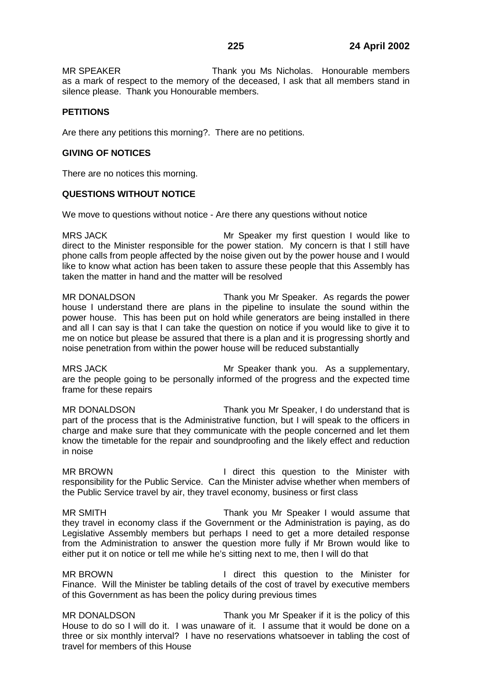MR SPEAKER Thank you Ms Nicholas. Honourable members as a mark of respect to the memory of the deceased, I ask that all members stand in silence please. Thank you Honourable members.

# **PETITIONS**

Are there any petitions this morning?. There are no petitions.

# **GIVING OF NOTICES**

There are no notices this morning.

# **QUESTIONS WITHOUT NOTICE**

We move to questions without notice - Are there any questions without notice

MRS JACK MRS JACK Mr Speaker my first question I would like to direct to the Minister responsible for the power station. My concern is that I still have phone calls from people affected by the noise given out by the power house and I would like to know what action has been taken to assure these people that this Assembly has taken the matter in hand and the matter will be resolved

MR DONALDSON Thank you Mr Speaker. As regards the power house I understand there are plans in the pipeline to insulate the sound within the power house. This has been put on hold while generators are being installed in there and all I can say is that I can take the question on notice if you would like to give it to me on notice but please be assured that there is a plan and it is progressing shortly and noise penetration from within the power house will be reduced substantially

MRS JACK **Mr Speaker thank you.** As a supplementary, are the people going to be personally informed of the progress and the expected time frame for these repairs

MR DONALDSON Thank you Mr Speaker, I do understand that is part of the process that is the Administrative function, but I will speak to the officers in charge and make sure that they communicate with the people concerned and let them know the timetable for the repair and soundproofing and the likely effect and reduction in noise

MR BROWN I direct this question to the Minister with responsibility for the Public Service. Can the Minister advise whether when members of the Public Service travel by air, they travel economy, business or first class

MR SMITH Thank you Mr Speaker I would assume that they travel in economy class if the Government or the Administration is paying, as do Legislative Assembly members but perhaps I need to get a more detailed response from the Administration to answer the question more fully if Mr Brown would like to either put it on notice or tell me while he's sitting next to me, then I will do that

MR BROWN **I** direct this question to the Minister for Finance. Will the Minister be tabling details of the cost of travel by executive members of this Government as has been the policy during previous times

MR DONALDSON Thank you Mr Speaker if it is the policy of this House to do so I will do it. I was unaware of it. I assume that it would be done on a three or six monthly interval? I have no reservations whatsoever in tabling the cost of travel for members of this House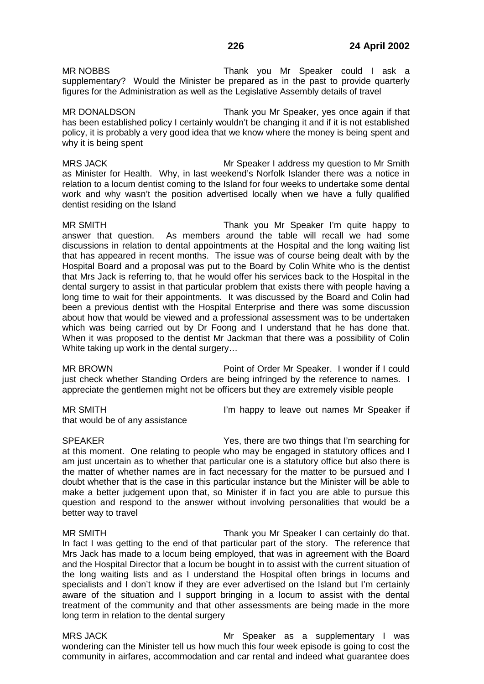MR NOBBS Thank you Mr Speaker could I ask a supplementary? Would the Minister be prepared as in the past to provide quarterly figures for the Administration as well as the Legislative Assembly details of travel

MR DONALDSON Thank you Mr Speaker, yes once again if that has been established policy I certainly wouldn't be changing it and if it is not established policy, it is probably a very good idea that we know where the money is being spent and why it is being spent

MRS JACK MRS JACK MRS JACK MRS JACK MRS JACK MRS HOT MANUSCRIPT ON MRS MARKET AT A MRS JACK MRS MRS MRS MRS MR as Minister for Health. Why, in last weekend's Norfolk Islander there was a notice in relation to a locum dentist coming to the Island for four weeks to undertake some dental work and why wasn't the position advertised locally when we have a fully qualified dentist residing on the Island

MR SMITH Thank you Mr Speaker I'm quite happy to answer that question. As members around the table will recall we had some discussions in relation to dental appointments at the Hospital and the long waiting list that has appeared in recent months. The issue was of course being dealt with by the Hospital Board and a proposal was put to the Board by Colin White who is the dentist that Mrs Jack is referring to, that he would offer his services back to the Hospital in the dental surgery to assist in that particular problem that exists there with people having a long time to wait for their appointments. It was discussed by the Board and Colin had been a previous dentist with the Hospital Enterprise and there was some discussion about how that would be viewed and a professional assessment was to be undertaken which was being carried out by Dr Foong and I understand that he has done that. When it was proposed to the dentist Mr Jackman that there was a possibility of Colin White taking up work in the dental surgery…

MR BROWN Point of Order Mr Speaker. I wonder if I could just check whether Standing Orders are being infringed by the reference to names. I appreciate the gentlemen might not be officers but they are extremely visible people

that would be of any assistance

MR SMITH **I'm happy to leave out names Mr Speaker if** 

SPEAKER Yes, there are two things that I'm searching for at this moment. One relating to people who may be engaged in statutory offices and I am just uncertain as to whether that particular one is a statutory office but also there is the matter of whether names are in fact necessary for the matter to be pursued and I doubt whether that is the case in this particular instance but the Minister will be able to make a better judgement upon that, so Minister if in fact you are able to pursue this question and respond to the answer without involving personalities that would be a better way to travel

MR SMITH Thank you Mr Speaker I can certainly do that. In fact I was getting to the end of that particular part of the story. The reference that Mrs Jack has made to a locum being employed, that was in agreement with the Board and the Hospital Director that a locum be bought in to assist with the current situation of the long waiting lists and as I understand the Hospital often brings in locums and specialists and I don't know if they are ever advertised on the Island but I'm certainly aware of the situation and I support bringing in a locum to assist with the dental treatment of the community and that other assessments are being made in the more long term in relation to the dental surgery

MRS JACK **MRS IN ACCULATE MARS JACK** Mr Speaker as a supplementary I was wondering can the Minister tell us how much this four week episode is going to cost the community in airfares, accommodation and car rental and indeed what guarantee does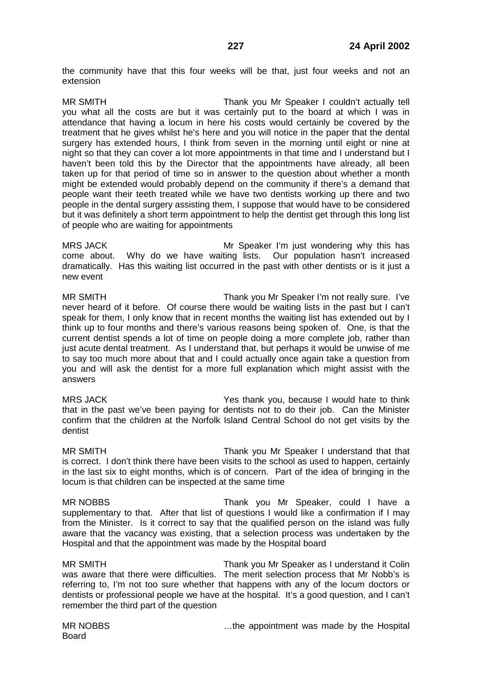the community have that this four weeks will be that, just four weeks and not an extension

MR SMITH Thank you Mr Speaker I couldn't actually tell you what all the costs are but it was certainly put to the board at which I was in attendance that having a locum in here his costs would certainly be covered by the treatment that he gives whilst he's here and you will notice in the paper that the dental surgery has extended hours, I think from seven in the morning until eight or nine at night so that they can cover a lot more appointments in that time and I understand but I haven't been told this by the Director that the appointments have already, all been taken up for that period of time so in answer to the question about whether a month might be extended would probably depend on the community if there's a demand that people want their teeth treated while we have two dentists working up there and two people in the dental surgery assisting them, I suppose that would have to be considered but it was definitely a short term appointment to help the dentist get through this long list of people who are waiting for appointments

MRS JACK MRS JACK MRS Speaker I'm just wondering why this has come about. Why do we have waiting lists. Our population hasn't increased dramatically. Has this waiting list occurred in the past with other dentists or is it just a new event

MR SMITH Thank you Mr Speaker I'm not really sure. I've never heard of it before. Of course there would be waiting lists in the past but I can't speak for them, I only know that in recent months the waiting list has extended out by I think up to four months and there's various reasons being spoken of. One, is that the current dentist spends a lot of time on people doing a more complete job, rather than just acute dental treatment. As I understand that, but perhaps it would be unwise of me to say too much more about that and I could actually once again take a question from you and will ask the dentist for a more full explanation which might assist with the answers

MRS JACK Yes thank you, because I would hate to think that in the past we've been paying for dentists not to do their job. Can the Minister confirm that the children at the Norfolk Island Central School do not get visits by the dentist

MR SMITH Thank you Mr Speaker I understand that that is correct. I don't think there have been visits to the school as used to happen, certainly in the last six to eight months, which is of concern. Part of the idea of bringing in the locum is that children can be inspected at the same time

MR NOBBS Thank you Mr Speaker, could I have a supplementary to that. After that list of questions I would like a confirmation if I may from the Minister. Is it correct to say that the qualified person on the island was fully aware that the vacancy was existing, that a selection process was undertaken by the Hospital and that the appointment was made by the Hospital board

MR SMITH Thank you Mr Speaker as I understand it Colin was aware that there were difficulties. The merit selection process that Mr Nobb's is referring to, I'm not too sure whether that happens with any of the locum doctors or dentists or professional people we have at the hospital. It's a good question, and I can't remember the third part of the question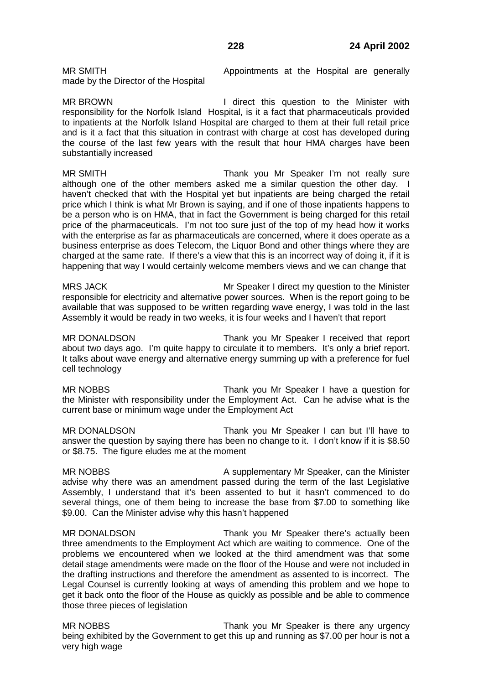made by the Director of the Hospital

MR SMITH **Appointments** at the Hospital are generally

MR BROWN **I** direct this question to the Minister with responsibility for the Norfolk Island Hospital, is it a fact that pharmaceuticals provided to inpatients at the Norfolk Island Hospital are charged to them at their full retail price and is it a fact that this situation in contrast with charge at cost has developed during the course of the last few years with the result that hour HMA charges have been substantially increased

MR SMITH Thank you Mr Speaker I'm not really sure although one of the other members asked me a similar question the other day. I haven't checked that with the Hospital yet but inpatients are being charged the retail price which I think is what Mr Brown is saying, and if one of those inpatients happens to be a person who is on HMA, that in fact the Government is being charged for this retail price of the pharmaceuticals. I'm not too sure just of the top of my head how it works with the enterprise as far as pharmaceuticals are concerned, where it does operate as a business enterprise as does Telecom, the Liquor Bond and other things where they are charged at the same rate. If there's a view that this is an incorrect way of doing it, if it is happening that way I would certainly welcome members views and we can change that

MRS JACK **Mr Speaker I direct my question to the Minister** responsible for electricity and alternative power sources. When is the report going to be available that was supposed to be written regarding wave energy, I was told in the last Assembly it would be ready in two weeks, it is four weeks and I haven't that report

MR DONALDSON Thank you Mr Speaker I received that report about two days ago. I'm quite happy to circulate it to members. It's only a brief report. It talks about wave energy and alternative energy summing up with a preference for fuel cell technology

MR NOBBS Thank you Mr Speaker I have a question for the Minister with responsibility under the Employment Act. Can he advise what is the current base or minimum wage under the Employment Act

MR DONALDSON Thank you Mr Speaker I can but I'll have to answer the question by saying there has been no change to it. I don't know if it is \$8.50 or \$8.75. The figure eludes me at the moment

MR NOBBS **A supplementary Mr Speaker, can the Minister** Mr Speaker, can the Minister advise why there was an amendment passed during the term of the last Legislative Assembly, I understand that it's been assented to but it hasn't commenced to do several things, one of them being to increase the base from \$7.00 to something like \$9.00. Can the Minister advise why this hasn't happened

MR DONALDSON Thank you Mr Speaker there's actually been three amendments to the Employment Act which are waiting to commence. One of the problems we encountered when we looked at the third amendment was that some detail stage amendments were made on the floor of the House and were not included in the drafting instructions and therefore the amendment as assented to is incorrect. The Legal Counsel is currently looking at ways of amending this problem and we hope to get it back onto the floor of the House as quickly as possible and be able to commence those three pieces of legislation

MR NOBBS Thank you Mr Speaker is there any urgency being exhibited by the Government to get this up and running as \$7.00 per hour is not a very high wage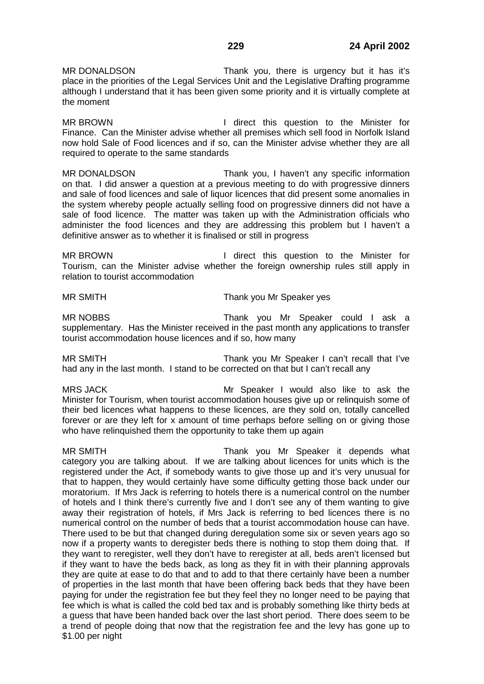MR DONALDSON Thank you, there is urgency but it has it's place in the priorities of the Legal Services Unit and the Legislative Drafting programme although I understand that it has been given some priority and it is virtually complete at the moment

MR BROWN **I** direct this question to the Minister for Finance. Can the Minister advise whether all premises which sell food in Norfolk Island now hold Sale of Food licences and if so, can the Minister advise whether they are all required to operate to the same standards

MR DONALDSON Thank you, I haven't any specific information on that. I did answer a question at a previous meeting to do with progressive dinners and sale of food licences and sale of liquor licences that did present some anomalies in the system whereby people actually selling food on progressive dinners did not have a sale of food licence. The matter was taken up with the Administration officials who administer the food licences and they are addressing this problem but I haven't a definitive answer as to whether it is finalised or still in progress

MR BROWN **I** direct this question to the Minister for Tourism, can the Minister advise whether the foreign ownership rules still apply in relation to tourist accommodation

MR SMITH Thank you Mr Speaker yes

MR NOBBS Thank you Mr Speaker could I ask a supplementary. Has the Minister received in the past month any applications to transfer tourist accommodation house licences and if so, how many

MR SMITH Thank you Mr Speaker I can't recall that I've had any in the last month. I stand to be corrected on that but I can't recall any

MRS JACK Mr Speaker I would also like to ask the Minister for Tourism, when tourist accommodation houses give up or relinquish some of their bed licences what happens to these licences, are they sold on, totally cancelled forever or are they left for x amount of time perhaps before selling on or giving those who have relinquished them the opportunity to take them up again

MR SMITH Thank you Mr Speaker it depends what category you are talking about. If we are talking about licences for units which is the registered under the Act, if somebody wants to give those up and it's very unusual for that to happen, they would certainly have some difficulty getting those back under our moratorium. If Mrs Jack is referring to hotels there is a numerical control on the number of hotels and I think there's currently five and I don't see any of them wanting to give away their registration of hotels, if Mrs Jack is referring to bed licences there is no numerical control on the number of beds that a tourist accommodation house can have. There used to be but that changed during deregulation some six or seven years ago so now if a property wants to deregister beds there is nothing to stop them doing that. If they want to reregister, well they don't have to reregister at all, beds aren't licensed but if they want to have the beds back, as long as they fit in with their planning approvals they are quite at ease to do that and to add to that there certainly have been a number of properties in the last month that have been offering back beds that they have been paying for under the registration fee but they feel they no longer need to be paying that fee which is what is called the cold bed tax and is probably something like thirty beds at a guess that have been handed back over the last short period. There does seem to be a trend of people doing that now that the registration fee and the levy has gone up to \$1.00 per night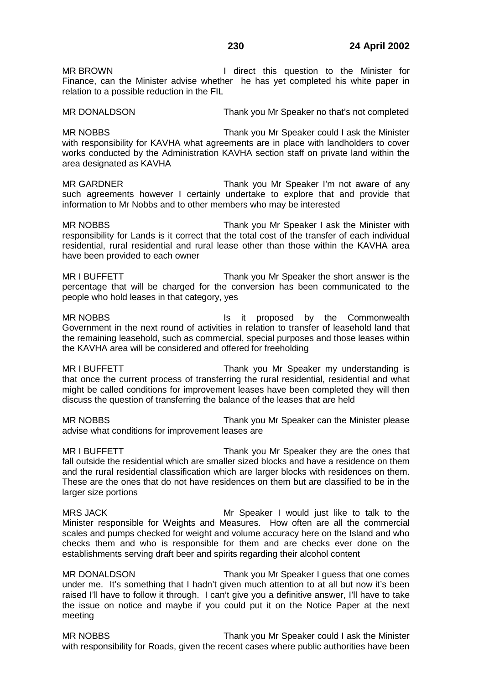MR BROWN **I** direct this question to the Minister for Finance, can the Minister advise whether he has yet completed his white paper in relation to a possible reduction in the FIL

MR DONALDSON Thank you Mr Speaker no that's not completed

MR NOBBS Thank you Mr Speaker could I ask the Minister with responsibility for KAVHA what agreements are in place with landholders to cover works conducted by the Administration KAVHA section staff on private land within the area designated as KAVHA

MR GARDNER Thank you Mr Speaker I'm not aware of any such agreements however I certainly undertake to explore that and provide that information to Mr Nobbs and to other members who may be interested

MR NOBBS Thank you Mr Speaker I ask the Minister with responsibility for Lands is it correct that the total cost of the transfer of each individual residential, rural residential and rural lease other than those within the KAVHA area have been provided to each owner

MR I BUFFETT THE STATE THANK you Mr Speaker the short answer is the percentage that will be charged for the conversion has been communicated to the people who hold leases in that category, yes

MR NOBBS **IS it proposed by the Commonwealth** Government in the next round of activities in relation to transfer of leasehold land that the remaining leasehold, such as commercial, special purposes and those leases within the KAVHA area will be considered and offered for freeholding

MR I BUFFETT THE STATE THANK you Mr Speaker my understanding is that once the current process of transferring the rural residential, residential and what might be called conditions for improvement leases have been completed they will then discuss the question of transferring the balance of the leases that are held

MR NOBBS Thank you Mr Speaker can the Minister please advise what conditions for improvement leases are

MR I BUFFETT THE THANK YOU Mr Speaker they are the ones that fall outside the residential which are smaller sized blocks and have a residence on them and the rural residential classification which are larger blocks with residences on them. These are the ones that do not have residences on them but are classified to be in the larger size portions

MRS JACK **MRS INCOCONTACK** Mr Speaker I would just like to talk to the Minister responsible for Weights and Measures. How often are all the commercial scales and pumps checked for weight and volume accuracy here on the Island and who checks them and who is responsible for them and are checks ever done on the establishments serving draft beer and spirits regarding their alcohol content

MR DONALDSON Thank you Mr Speaker I guess that one comes under me. It's something that I hadn't given much attention to at all but now it's been raised I'll have to follow it through. I can't give you a definitive answer, I'll have to take the issue on notice and maybe if you could put it on the Notice Paper at the next meeting

MR NOBBS Thank you Mr Speaker could I ask the Minister with responsibility for Roads, given the recent cases where public authorities have been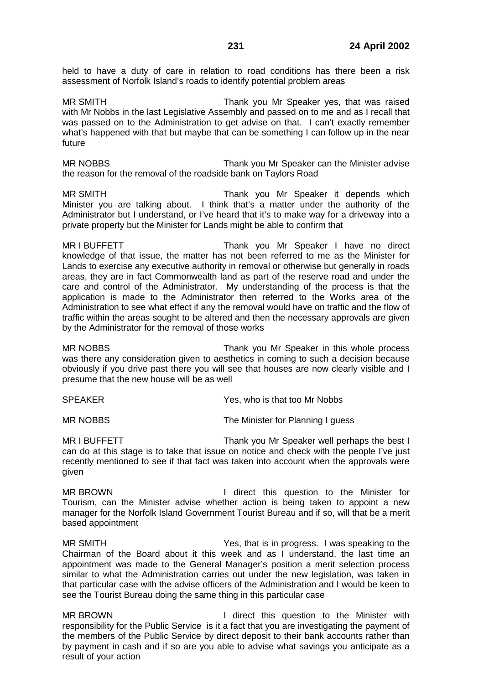held to have a duty of care in relation to road conditions has there been a risk assessment of Norfolk Island's roads to identify potential problem areas

MR SMITH Thank you Mr Speaker yes, that was raised with Mr Nobbs in the last Legislative Assembly and passed on to me and as I recall that was passed on to the Administration to get advise on that. I can't exactly remember what's happened with that but maybe that can be something I can follow up in the near future

MR NOBBS Thank you Mr Speaker can the Minister advise the reason for the removal of the roadside bank on Taylors Road

MR SMITH Thank you Mr Speaker it depends which Minister you are talking about. I think that's a matter under the authority of the Administrator but I understand, or I've heard that it's to make way for a driveway into a private property but the Minister for Lands might be able to confirm that

MR I BUFFETT THE STATE THANK YOU Mr Speaker I have no direct knowledge of that issue, the matter has not been referred to me as the Minister for Lands to exercise any executive authority in removal or otherwise but generally in roads areas, they are in fact Commonwealth land as part of the reserve road and under the care and control of the Administrator. My understanding of the process is that the application is made to the Administrator then referred to the Works area of the Administration to see what effect if any the removal would have on traffic and the flow of traffic within the areas sought to be altered and then the necessary approvals are given by the Administrator for the removal of those works

MR NOBBS Thank you Mr Speaker in this whole process was there any consideration given to aesthetics in coming to such a decision because obviously if you drive past there you will see that houses are now clearly visible and I presume that the new house will be as well

SPEAKER Yes, who is that too Mr Nobbs

MR NOBBS The Minister for Planning I guess

MR I BUFFETT THE THANK YOU Mr Speaker well perhaps the best I can do at this stage is to take that issue on notice and check with the people I've just recently mentioned to see if that fact was taken into account when the approvals were given

MR BROWN I direct this question to the Minister for Tourism, can the Minister advise whether action is being taken to appoint a new manager for the Norfolk Island Government Tourist Bureau and if so, will that be a merit based appointment

MR SMITH Yes, that is in progress. I was speaking to the Chairman of the Board about it this week and as I understand, the last time an appointment was made to the General Manager's position a merit selection process similar to what the Administration carries out under the new legislation, was taken in that particular case with the advise officers of the Administration and I would be keen to see the Tourist Bureau doing the same thing in this particular case

MR BROWN **I** direct this question to the Minister with responsibility for the Public Service is it a fact that you are investigating the payment of the members of the Public Service by direct deposit to their bank accounts rather than by payment in cash and if so are you able to advise what savings you anticipate as a result of your action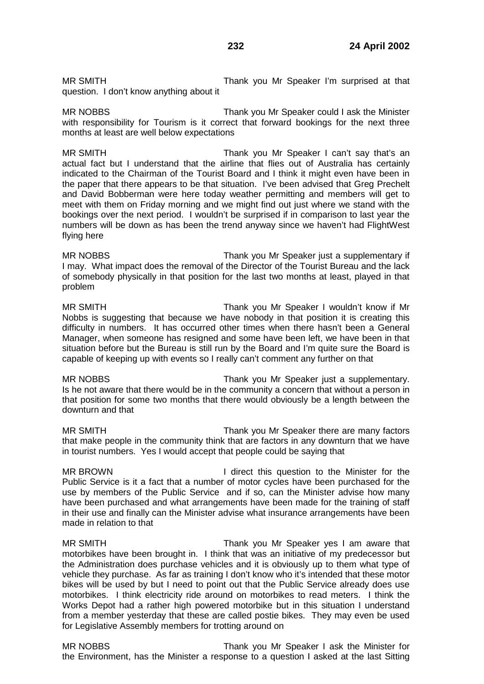MR SMITH Thank you Mr Speaker I'm surprised at that question. I don't know anything about it

MR NOBBS Thank you Mr Speaker could I ask the Minister with responsibility for Tourism is it correct that forward bookings for the next three months at least are well below expectations

MR SMITH Thank you Mr Speaker I can't say that's an actual fact but I understand that the airline that flies out of Australia has certainly indicated to the Chairman of the Tourist Board and I think it might even have been in the paper that there appears to be that situation. I've been advised that Greg Prechelt and David Bobberman were here today weather permitting and members will get to meet with them on Friday morning and we might find out just where we stand with the bookings over the next period. I wouldn't be surprised if in comparison to last year the numbers will be down as has been the trend anyway since we haven't had FlightWest flying here

MR NOBBS Thank you Mr Speaker just a supplementary if I may. What impact does the removal of the Director of the Tourist Bureau and the lack of somebody physically in that position for the last two months at least, played in that problem

MR SMITH Thank you Mr Speaker I wouldn't know if Mr Nobbs is suggesting that because we have nobody in that position it is creating this difficulty in numbers. It has occurred other times when there hasn't been a General Manager, when someone has resigned and some have been left, we have been in that situation before but the Bureau is still run by the Board and I'm quite sure the Board is capable of keeping up with events so I really can't comment any further on that

MR NOBBS Thank you Mr Speaker just a supplementary. Is he not aware that there would be in the community a concern that without a person in that position for some two months that there would obviously be a length between the downturn and that

MR SMITH Thank you Mr Speaker there are many factors that make people in the community think that are factors in any downturn that we have in tourist numbers. Yes I would accept that people could be saying that

MR BROWN **I** direct this question to the Minister for the Public Service is it a fact that a number of motor cycles have been purchased for the use by members of the Public Service and if so, can the Minister advise how many have been purchased and what arrangements have been made for the training of staff in their use and finally can the Minister advise what insurance arrangements have been made in relation to that

MR SMITH Thank you Mr Speaker yes I am aware that motorbikes have been brought in. I think that was an initiative of my predecessor but the Administration does purchase vehicles and it is obviously up to them what type of vehicle they purchase. As far as training I don't know who it's intended that these motor bikes will be used by but I need to point out that the Public Service already does use motorbikes. I think electricity ride around on motorbikes to read meters. I think the Works Depot had a rather high powered motorbike but in this situation I understand from a member yesterday that these are called postie bikes. They may even be used for Legislative Assembly members for trotting around on

MR NOBBS Thank you Mr Speaker I ask the Minister for the Environment, has the Minister a response to a question I asked at the last Sitting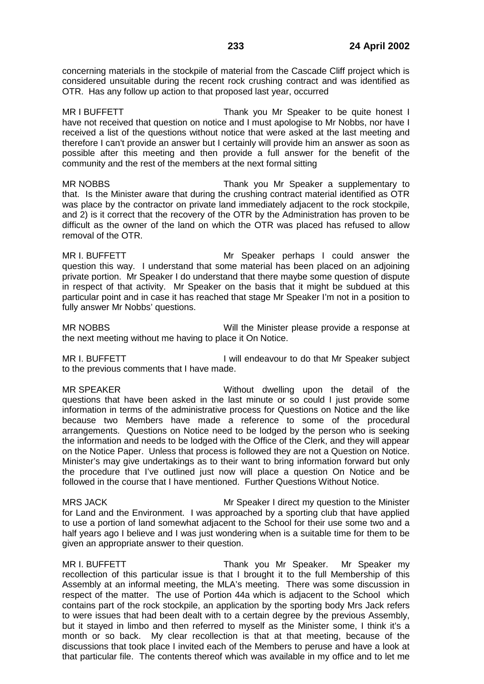concerning materials in the stockpile of material from the Cascade Cliff project which is considered unsuitable during the recent rock crushing contract and was identified as OTR. Has any follow up action to that proposed last year, occurred

MR I BUFFETT THE STAND Thank you Mr Speaker to be quite honest I have not received that question on notice and I must apologise to Mr Nobbs, nor have I received a list of the questions without notice that were asked at the last meeting and therefore I can't provide an answer but I certainly will provide him an answer as soon as possible after this meeting and then provide a full answer for the benefit of the community and the rest of the members at the next formal sitting

MR NOBBS Thank you Mr Speaker a supplementary to that. Is the Minister aware that during the crushing contract material identified as OTR was place by the contractor on private land immediately adjacent to the rock stockpile, and 2) is it correct that the recovery of the OTR by the Administration has proven to be difficult as the owner of the land on which the OTR was placed has refused to allow removal of the OTR.

MR I. BUFFETT Mr Speaker perhaps I could answer the question this way. I understand that some material has been placed on an adjoining private portion. Mr Speaker I do understand that there maybe some question of dispute in respect of that activity. Mr Speaker on the basis that it might be subdued at this particular point and in case it has reached that stage Mr Speaker I'm not in a position to fully answer Mr Nobbs' questions.

MR NOBBS Will the Minister please provide a response at the next meeting without me having to place it On Notice.

MR I. BUFFETT **I** will endeavour to do that Mr Speaker subject to the previous comments that I have made.

MR SPEAKER Without dwelling upon the detail of the questions that have been asked in the last minute or so could I just provide some information in terms of the administrative process for Questions on Notice and the like because two Members have made a reference to some of the procedural arrangements. Questions on Notice need to be lodged by the person who is seeking the information and needs to be lodged with the Office of the Clerk, and they will appear on the Notice Paper. Unless that process is followed they are not a Question on Notice. Minister's may give undertakings as to their want to bring information forward but only the procedure that I've outlined just now will place a question On Notice and be followed in the course that I have mentioned. Further Questions Without Notice.

MRS JACK MRS JACK MRS JACK MRS JACK MRS JACK MRS JACK MEDICAL MUSIC MUSIC MUSIC MEDICAL MEDICAL MEDICAL MEDICAL ME for Land and the Environment. I was approached by a sporting club that have applied to use a portion of land somewhat adjacent to the School for their use some two and a half years ago I believe and I was just wondering when is a suitable time for them to be given an appropriate answer to their question.

MR I. BUFFETT THE STREAM Thank you Mr Speaker. Mr Speaker my recollection of this particular issue is that I brought it to the full Membership of this Assembly at an informal meeting, the MLA's meeting. There was some discussion in respect of the matter. The use of Portion 44a which is adjacent to the School which contains part of the rock stockpile, an application by the sporting body Mrs Jack refers to were issues that had been dealt with to a certain degree by the previous Assembly, but it stayed in limbo and then referred to myself as the Minister some, I think it's a month or so back. My clear recollection is that at that meeting, because of the discussions that took place I invited each of the Members to peruse and have a look at that particular file. The contents thereof which was available in my office and to let me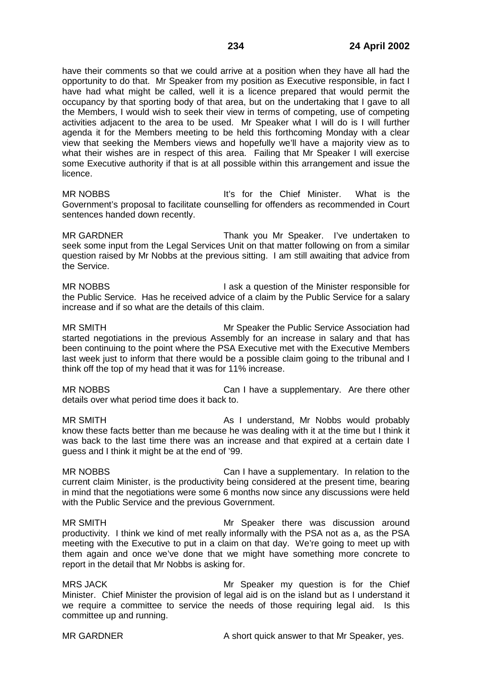have their comments so that we could arrive at a position when they have all had the opportunity to do that. Mr Speaker from my position as Executive responsible, in fact I have had what might be called, well it is a licence prepared that would permit the occupancy by that sporting body of that area, but on the undertaking that I gave to all the Members, I would wish to seek their view in terms of competing, use of competing activities adjacent to the area to be used. Mr Speaker what I will do is I will further agenda it for the Members meeting to be held this forthcoming Monday with a clear view that seeking the Members views and hopefully we'll have a majority view as to what their wishes are in respect of this area. Failing that Mr Speaker I will exercise some Executive authority if that is at all possible within this arrangement and issue the licence.

MR NOBBS **It's for the Chief Minister.** What is the Government's proposal to facilitate counselling for offenders as recommended in Court sentences handed down recently.

MR GARDNER Thank you Mr Speaker. I've undertaken to seek some input from the Legal Services Unit on that matter following on from a similar question raised by Mr Nobbs at the previous sitting. I am still awaiting that advice from the Service.

MR NOBBS **I** ask a question of the Minister responsible for the Public Service. Has he received advice of a claim by the Public Service for a salary increase and if so what are the details of this claim.

MR SMITH Mr Speaker the Public Service Association had started negotiations in the previous Assembly for an increase in salary and that has been continuing to the point where the PSA Executive met with the Executive Members last week just to inform that there would be a possible claim going to the tribunal and I think off the top of my head that it was for 11% increase.

MR NOBBS Can I have a supplementary. Are there other details over what period time does it back to.

MR SMITH As I understand, Mr Nobbs would probably know these facts better than me because he was dealing with it at the time but I think it was back to the last time there was an increase and that expired at a certain date I guess and I think it might be at the end of '99.

MR NOBBS Can I have a supplementary. In relation to the current claim Minister, is the productivity being considered at the present time, bearing in mind that the negotiations were some 6 months now since any discussions were held with the Public Service and the previous Government.

MR SMITH Mr Speaker there was discussion around productivity. I think we kind of met really informally with the PSA not as a, as the PSA meeting with the Executive to put in a claim on that day. We're going to meet up with them again and once we've done that we might have something more concrete to report in the detail that Mr Nobbs is asking for.

MRS JACK Mr Speaker my question is for the Chief Minister. Chief Minister the provision of legal aid is on the island but as I understand it we require a committee to service the needs of those requiring legal aid. Is this committee up and running.

MR GARDNER A short quick answer to that Mr Speaker, yes.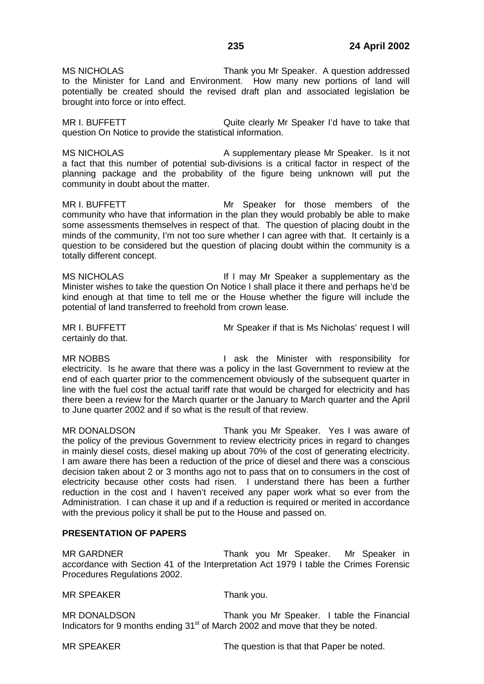MS NICHOLAS Thank you Mr Speaker. A question addressed to the Minister for Land and Environment. How many new portions of land will potentially be created should the revised draft plan and associated legislation be brought into force or into effect.

MR I. BUFFETT **The COME COME COME CLEART** Cuite clearly Mr Speaker I'd have to take that question On Notice to provide the statistical information.

MS NICHOLAS A supplementary please Mr Speaker. Is it not a fact that this number of potential sub-divisions is a critical factor in respect of the planning package and the probability of the figure being unknown will put the community in doubt about the matter.

MR I. BUFFETT Mr Speaker for those members of the community who have that information in the plan they would probably be able to make some assessments themselves in respect of that. The question of placing doubt in the minds of the community, I'm not too sure whether I can agree with that. It certainly is a question to be considered but the question of placing doubt within the community is a totally different concept.

MS NICHOLAS **If I may Mr Speaker a supplementary as the** Minister wishes to take the question On Notice I shall place it there and perhaps he'd be kind enough at that time to tell me or the House whether the figure will include the potential of land transferred to freehold from crown lease.

certainly do that.

MR I. BUFFETT Mr Speaker if that is Ms Nicholas' request I will

MR NOBBS **I** ask the Minister with responsibility for electricity. Is he aware that there was a policy in the last Government to review at the end of each quarter prior to the commencement obviously of the subsequent quarter in line with the fuel cost the actual tariff rate that would be charged for electricity and has there been a review for the March quarter or the January to March quarter and the April to June quarter 2002 and if so what is the result of that review.

MR DONALDSON Thank you Mr Speaker. Yes I was aware of the policy of the previous Government to review electricity prices in regard to changes in mainly diesel costs, diesel making up about 70% of the cost of generating electricity. I am aware there has been a reduction of the price of diesel and there was a conscious decision taken about 2 or 3 months ago not to pass that on to consumers in the cost of electricity because other costs had risen. I understand there has been a further reduction in the cost and I haven't received any paper work what so ever from the Administration. I can chase it up and if a reduction is required or merited in accordance with the previous policy it shall be put to the House and passed on.

# **PRESENTATION OF PAPERS**

MR GARDNER Thank you Mr Speaker. Mr Speaker in accordance with Section 41 of the Interpretation Act 1979 I table the Crimes Forensic Procedures Regulations 2002.

MR SPEAKER Thank you.

MR DONALDSON Thank you Mr Speaker. I table the Financial Indicators for 9 months ending 31<sup>st</sup> of March 2002 and move that they be noted.

MR SPEAKER The question is that that Paper be noted.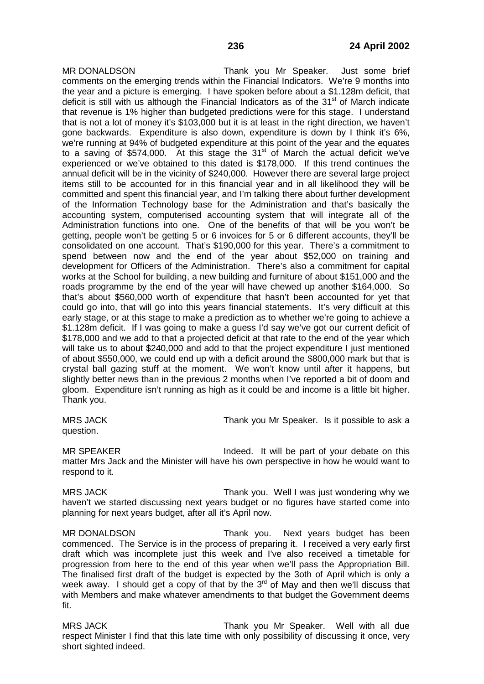MR DONALDSON Thank you Mr Speaker. Just some brief comments on the emerging trends within the Financial Indicators. We're 9 months into the year and a picture is emerging. I have spoken before about a \$1.128m deficit, that deficit is still with us although the Financial Indicators as of the  $31<sup>st</sup>$  of March indicate that revenue is 1% higher than budgeted predictions were for this stage. I understand that is not a lot of money it's \$103,000 but it is at least in the right direction, we haven't gone backwards. Expenditure is also down, expenditure is down by I think it's 6%, we're running at 94% of budgeted expenditure at this point of the year and the equates to a saving of \$574,000. At this stage the  $31<sup>st</sup>$  of March the actual deficit we've experienced or we've obtained to this dated is \$178,000. If this trend continues the annual deficit will be in the vicinity of \$240,000. However there are several large project items still to be accounted for in this financial year and in all likelihood they will be committed and spent this financial year, and I'm talking there about further development of the Information Technology base for the Administration and that's basically the accounting system, computerised accounting system that will integrate all of the Administration functions into one. One of the benefits of that will be you won't be getting, people won't be getting 5 or 6 invoices for 5 or 6 different accounts, they'll be consolidated on one account. That's \$190,000 for this year. There's a commitment to spend between now and the end of the year about \$52,000 on training and development for Officers of the Administration. There's also a commitment for capital works at the School for building, a new building and furniture of about \$151,000 and the roads programme by the end of the year will have chewed up another \$164,000. So that's about \$560,000 worth of expenditure that hasn't been accounted for yet that could go into, that will go into this years financial statements. It's very difficult at this early stage, or at this stage to make a prediction as to whether we're going to achieve a \$1.128m deficit. If I was going to make a guess I'd say we've got our current deficit of \$178,000 and we add to that a projected deficit at that rate to the end of the year which will take us to about \$240,000 and add to that the project expenditure I just mentioned of about \$550,000, we could end up with a deficit around the \$800,000 mark but that is crystal ball gazing stuff at the moment. We won't know until after it happens, but slightly better news than in the previous 2 months when I've reported a bit of doom and gloom. Expenditure isn't running as high as it could be and income is a little bit higher. Thank you.

question.

MRS JACK Thank you Mr Speaker. Is it possible to ask a

MR SPEAKER **Indeed.** It will be part of your debate on this matter Mrs Jack and the Minister will have his own perspective in how he would want to respond to it.

MRS JACK Thank you. Well I was just wondering why we haven't we started discussing next years budget or no figures have started come into planning for next years budget, after all it's April now.

MR DONALDSON Thank you. Next years budget has been commenced. The Service is in the process of preparing it. I received a very early first draft which was incomplete just this week and I've also received a timetable for progression from here to the end of this year when we'll pass the Appropriation Bill. The finalised first draft of the budget is expected by the 3oth of April which is only a week away. I should get a copy of that by the  $3<sup>rd</sup>$  of May and then we'll discuss that with Members and make whatever amendments to that budget the Government deems fit.

MRS JACK Thank you Mr Speaker. Well with all due respect Minister I find that this late time with only possibility of discussing it once, very short sighted indeed.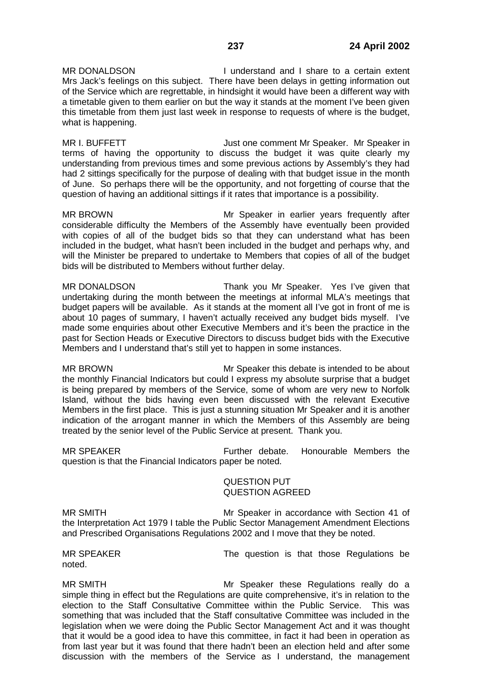MR DONALDSON **I** understand and I share to a certain extent Mrs Jack's feelings on this subject. There have been delays in getting information out of the Service which are regrettable, in hindsight it would have been a different way with a timetable given to them earlier on but the way it stands at the moment I've been given this timetable from them just last week in response to requests of where is the budget, what is happening.

MR I. BUFFETT **THE STATE STATE STATE STATE STATES** Just one comment Mr Speaker. Mr Speaker in terms of having the opportunity to discuss the budget it was quite clearly my understanding from previous times and some previous actions by Assembly's they had had 2 sittings specifically for the purpose of dealing with that budget issue in the month of June. So perhaps there will be the opportunity, and not forgetting of course that the question of having an additional sittings if it rates that importance is a possibility.

MR BROWN Mr Speaker in earlier years frequently after considerable difficulty the Members of the Assembly have eventually been provided with copies of all of the budget bids so that they can understand what has been included in the budget, what hasn't been included in the budget and perhaps why, and will the Minister be prepared to undertake to Members that copies of all of the budget bids will be distributed to Members without further delay.

MR DONALDSON Thank you Mr Speaker. Yes I've given that undertaking during the month between the meetings at informal MLA's meetings that budget papers will be available. As it stands at the moment all I've got in front of me is about 10 pages of summary, I haven't actually received any budget bids myself. I've made some enquiries about other Executive Members and it's been the practice in the past for Section Heads or Executive Directors to discuss budget bids with the Executive Members and I understand that's still yet to happen in some instances.

MR BROWN Mr Speaker this debate is intended to be about the monthly Financial Indicators but could I express my absolute surprise that a budget is being prepared by members of the Service, some of whom are very new to Norfolk Island, without the bids having even been discussed with the relevant Executive Members in the first place. This is just a stunning situation Mr Speaker and it is another indication of the arrogant manner in which the Members of this Assembly are being treated by the senior level of the Public Service at present. Thank you.

MR SPEAKER Further debate. Honourable Members the question is that the Financial Indicators paper be noted.

#### QUESTION PUT QUESTION AGREED

MR SMITH Mr Speaker in accordance with Section 41 of the Interpretation Act 1979 I table the Public Sector Management Amendment Elections and Prescribed Organisations Regulations 2002 and I move that they be noted.

noted.

MR SPEAKER The question is that those Regulations be

MR SMITH Mr Speaker these Regulations really do a simple thing in effect but the Regulations are quite comprehensive, it's in relation to the election to the Staff Consultative Committee within the Public Service. This was something that was included that the Staff consultative Committee was included in the legislation when we were doing the Public Sector Management Act and it was thought that it would be a good idea to have this committee, in fact it had been in operation as from last year but it was found that there hadn't been an election held and after some discussion with the members of the Service as I understand, the management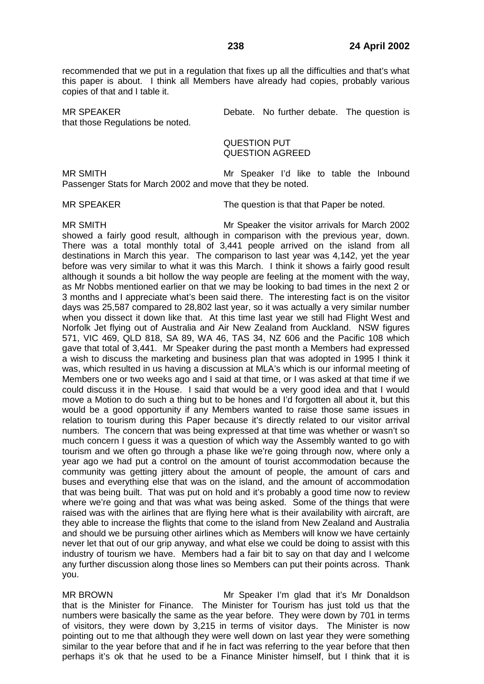recommended that we put in a regulation that fixes up all the difficulties and that's what this paper is about. I think all Members have already had copies, probably various copies of that and I table it.

that those Regulations be noted.

MR SPEAKER **Debate.** No further debate. The question is

QUESTION PUT QUESTION AGREED

MR SMITH Mr Speaker I'd like to table the Inbound Passenger Stats for March 2002 and move that they be noted.

MR SPEAKER The question is that that Paper be noted.

MR SMITH Mr Speaker the visitor arrivals for March 2002 showed a fairly good result, although in comparison with the previous year, down. There was a total monthly total of 3,441 people arrived on the island from all destinations in March this year. The comparison to last year was 4,142, yet the year before was very similar to what it was this March. I think it shows a fairly good result although it sounds a bit hollow the way people are feeling at the moment with the way, as Mr Nobbs mentioned earlier on that we may be looking to bad times in the next 2 or 3 months and I appreciate what's been said there. The interesting fact is on the visitor days was 25,587 compared to 28,802 last year, so it was actually a very similar number when you dissect it down like that. At this time last year we still had Flight West and Norfolk Jet flying out of Australia and Air New Zealand from Auckland. NSW figures 571, VIC 469, QLD 818, SA 89, WA 46, TAS 34, NZ 606 and the Pacific 108 which gave that total of 3,441. Mr Speaker during the past month a Members had expressed a wish to discuss the marketing and business plan that was adopted in 1995 I think it was, which resulted in us having a discussion at MLA's which is our informal meeting of Members one or two weeks ago and I said at that time, or I was asked at that time if we could discuss it in the House. I said that would be a very good idea and that I would move a Motion to do such a thing but to be hones and I'd forgotten all about it, but this would be a good opportunity if any Members wanted to raise those same issues in relation to tourism during this Paper because it's directly related to our visitor arrival numbers. The concern that was being expressed at that time was whether or wasn't so much concern I guess it was a question of which way the Assembly wanted to go with tourism and we often go through a phase like we're going through now, where only a year ago we had put a control on the amount of tourist accommodation because the community was getting jittery about the amount of people, the amount of cars and buses and everything else that was on the island, and the amount of accommodation that was being built. That was put on hold and it's probably a good time now to review where we're going and that was what was being asked. Some of the things that were raised was with the airlines that are flying here what is their availability with aircraft, are they able to increase the flights that come to the island from New Zealand and Australia and should we be pursuing other airlines which as Members will know we have certainly never let that out of our grip anyway, and what else we could be doing to assist with this industry of tourism we have. Members had a fair bit to say on that day and I welcome any further discussion along those lines so Members can put their points across. Thank you.

MR BROWN Mr Speaker I'm glad that it's Mr Donaldson that is the Minister for Finance. The Minister for Tourism has just told us that the numbers were basically the same as the year before. They were down by 701 in terms of visitors, they were down by 3,215 in terms of visitor days. The Minister is now pointing out to me that although they were well down on last year they were something similar to the year before that and if he in fact was referring to the year before that then perhaps it's ok that he used to be a Finance Minister himself, but I think that it is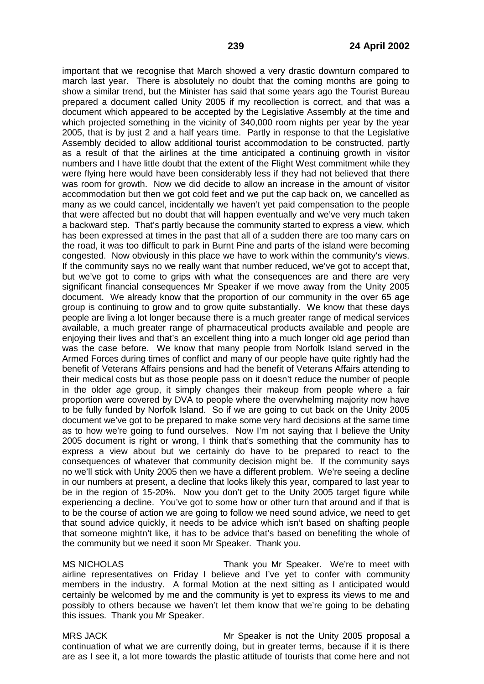important that we recognise that March showed a very drastic downturn compared to march last year. There is absolutely no doubt that the coming months are going to show a similar trend, but the Minister has said that some years ago the Tourist Bureau prepared a document called Unity 2005 if my recollection is correct, and that was a document which appeared to be accepted by the Legislative Assembly at the time and which projected something in the vicinity of 340,000 room nights per year by the year 2005, that is by just 2 and a half years time. Partly in response to that the Legislative Assembly decided to allow additional tourist accommodation to be constructed, partly as a result of that the airlines at the time anticipated a continuing growth in visitor numbers and I have little doubt that the extent of the Flight West commitment while they were flying here would have been considerably less if they had not believed that there was room for growth. Now we did decide to allow an increase in the amount of visitor accommodation but then we got cold feet and we put the cap back on, we cancelled as many as we could cancel, incidentally we haven't yet paid compensation to the people that were affected but no doubt that will happen eventually and we've very much taken a backward step. That's partly because the community started to express a view, which has been expressed at times in the past that all of a sudden there are too many cars on the road, it was too difficult to park in Burnt Pine and parts of the island were becoming congested. Now obviously in this place we have to work within the community's views. If the community says no we really want that number reduced, we've got to accept that, but we've got to come to grips with what the consequences are and there are very significant financial consequences Mr Speaker if we move away from the Unity 2005 document. We already know that the proportion of our community in the over 65 age group is continuing to grow and to grow quite substantially. We know that these days people are living a lot longer because there is a much greater range of medical services available, a much greater range of pharmaceutical products available and people are enjoying their lives and that's an excellent thing into a much longer old age period than was the case before. We know that many people from Norfolk Island served in the Armed Forces during times of conflict and many of our people have quite rightly had the benefit of Veterans Affairs pensions and had the benefit of Veterans Affairs attending to their medical costs but as those people pass on it doesn't reduce the number of people in the older age group, it simply changes their makeup from people where a fair proportion were covered by DVA to people where the overwhelming majority now have to be fully funded by Norfolk Island. So if we are going to cut back on the Unity 2005 document we've got to be prepared to make some very hard decisions at the same time as to how we're going to fund ourselves. Now I'm not saying that I believe the Unity 2005 document is right or wrong, I think that's something that the community has to express a view about but we certainly do have to be prepared to react to the consequences of whatever that community decision might be. If the community says no we'll stick with Unity 2005 then we have a different problem. We're seeing a decline in our numbers at present, a decline that looks likely this year, compared to last year to be in the region of 15-20%. Now you don't get to the Unity 2005 target figure while experiencing a decline. You've got to some how or other turn that around and if that is to be the course of action we are going to follow we need sound advice, we need to get that sound advice quickly, it needs to be advice which isn't based on shafting people that someone mightn't like, it has to be advice that's based on benefiting the whole of the community but we need it soon Mr Speaker. Thank you.

MS NICHOLAS Thank you Mr Speaker. We're to meet with airline representatives on Friday I believe and I've yet to confer with community members in the industry. A formal Motion at the next sitting as I anticipated would certainly be welcomed by me and the community is yet to express its views to me and possibly to others because we haven't let them know that we're going to be debating this issues. Thank you Mr Speaker.

MRS JACK **MRS 1995** Mr Speaker is not the Unity 2005 proposal a continuation of what we are currently doing, but in greater terms, because if it is there are as I see it, a lot more towards the plastic attitude of tourists that come here and not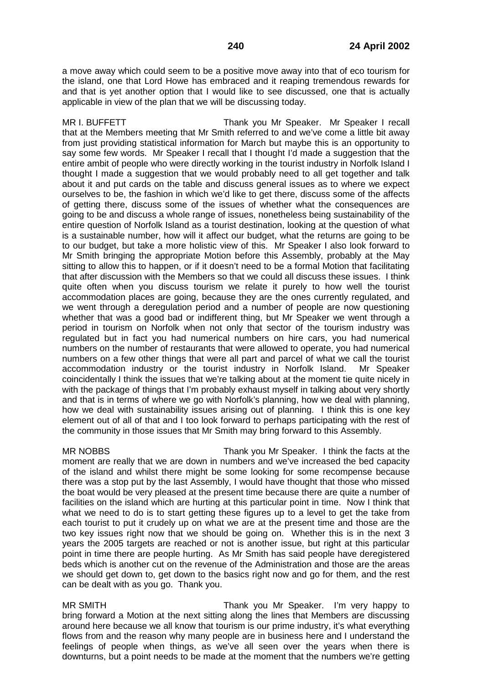a move away which could seem to be a positive move away into that of eco tourism for the island, one that Lord Howe has embraced and it reaping tremendous rewards for and that is yet another option that I would like to see discussed, one that is actually applicable in view of the plan that we will be discussing today.

MR I. BUFFETT THE STREAM Thank you Mr Speaker. Mr Speaker I recall that at the Members meeting that Mr Smith referred to and we've come a little bit away from just providing statistical information for March but maybe this is an opportunity to say some few words. Mr Speaker I recall that I thought I'd made a suggestion that the entire ambit of people who were directly working in the tourist industry in Norfolk Island I thought I made a suggestion that we would probably need to all get together and talk about it and put cards on the table and discuss general issues as to where we expect ourselves to be, the fashion in which we'd like to get there, discuss some of the affects of getting there, discuss some of the issues of whether what the consequences are going to be and discuss a whole range of issues, nonetheless being sustainability of the entire question of Norfolk Island as a tourist destination, looking at the question of what is a sustainable number, how will it affect our budget, what the returns are going to be to our budget, but take a more holistic view of this. Mr Speaker I also look forward to Mr Smith bringing the appropriate Motion before this Assembly, probably at the May sitting to allow this to happen, or if it doesn't need to be a formal Motion that facilitating that after discussion with the Members so that we could all discuss these issues. I think quite often when you discuss tourism we relate it purely to how well the tourist accommodation places are going, because they are the ones currently regulated, and we went through a deregulation period and a number of people are now questioning whether that was a good bad or indifferent thing, but Mr Speaker we went through a period in tourism on Norfolk when not only that sector of the tourism industry was regulated but in fact you had numerical numbers on hire cars, you had numerical numbers on the number of restaurants that were allowed to operate, you had numerical numbers on a few other things that were all part and parcel of what we call the tourist accommodation industry or the tourist industry in Norfolk Island. Mr Speaker coincidentally I think the issues that we're talking about at the moment tie quite nicely in with the package of things that I'm probably exhaust myself in talking about very shortly and that is in terms of where we go with Norfolk's planning, how we deal with planning, how we deal with sustainability issues arising out of planning. I think this is one key element out of all of that and I too look forward to perhaps participating with the rest of the community in those issues that Mr Smith may bring forward to this Assembly.

MR NOBBS Thank you Mr Speaker. I think the facts at the moment are really that we are down in numbers and we've increased the bed capacity of the island and whilst there might be some looking for some recompense because there was a stop put by the last Assembly, I would have thought that those who missed the boat would be very pleased at the present time because there are quite a number of facilities on the island which are hurting at this particular point in time. Now I think that what we need to do is to start getting these figures up to a level to get the take from each tourist to put it crudely up on what we are at the present time and those are the two key issues right now that we should be going on. Whether this is in the next 3 years the 2005 targets are reached or not is another issue, but right at this particular point in time there are people hurting. As Mr Smith has said people have deregistered beds which is another cut on the revenue of the Administration and those are the areas we should get down to, get down to the basics right now and go for them, and the rest can be dealt with as you go. Thank you.

MR SMITH Thank you Mr Speaker. I'm very happy to bring forward a Motion at the next sitting along the lines that Members are discussing around here because we all know that tourism is our prime industry, it's what everything flows from and the reason why many people are in business here and I understand the feelings of people when things, as we've all seen over the years when there is downturns, but a point needs to be made at the moment that the numbers we're getting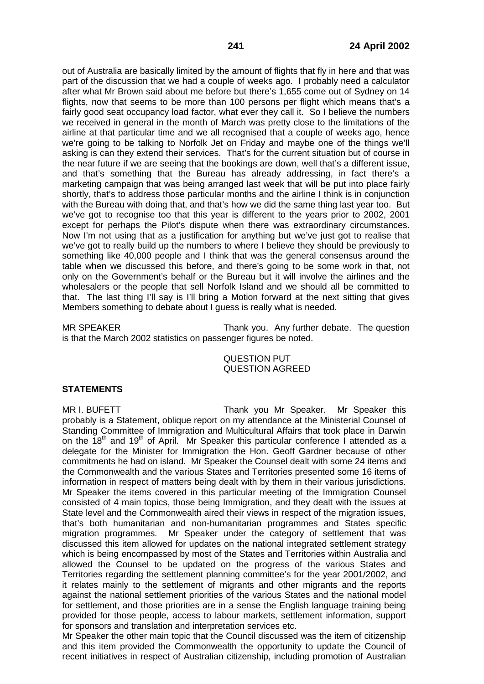out of Australia are basically limited by the amount of flights that fly in here and that was part of the discussion that we had a couple of weeks ago. I probably need a calculator after what Mr Brown said about me before but there's 1,655 come out of Sydney on 14 flights, now that seems to be more than 100 persons per flight which means that's a fairly good seat occupancy load factor, what ever they call it. So I believe the numbers we received in general in the month of March was pretty close to the limitations of the airline at that particular time and we all recognised that a couple of weeks ago, hence we're going to be talking to Norfolk Jet on Friday and maybe one of the things we'll asking is can they extend their services. That's for the current situation but of course in the near future if we are seeing that the bookings are down, well that's a different issue, and that's something that the Bureau has already addressing, in fact there's a marketing campaign that was being arranged last week that will be put into place fairly shortly, that's to address those particular months and the airline I think is in conjunction with the Bureau with doing that, and that's how we did the same thing last year too. But we've got to recognise too that this year is different to the years prior to 2002, 2001 except for perhaps the Pilot's dispute when there was extraordinary circumstances. Now I'm not using that as a justification for anything but we've just got to realise that we've got to really build up the numbers to where I believe they should be previously to something like 40,000 people and I think that was the general consensus around the table when we discussed this before, and there's going to be some work in that, not only on the Government's behalf or the Bureau but it will involve the airlines and the wholesalers or the people that sell Norfolk Island and we should all be committed to that. The last thing I'll say is I'll bring a Motion forward at the next sitting that gives Members something to debate about I guess is really what is needed.

MR SPEAKER Thank you. Any further debate. The question is that the March 2002 statistics on passenger figures be noted.

# QUESTION PUT QUESTION AGREED

## **STATEMENTS**

MR I. BUFETT **Thank you Mr Speaker.** Mr Speaker this probably is a Statement, oblique report on my attendance at the Ministerial Counsel of Standing Committee of Immigration and Multicultural Affairs that took place in Darwin on the  $18<sup>th</sup>$  and  $19<sup>th</sup>$  of April. Mr Speaker this particular conference I attended as a delegate for the Minister for Immigration the Hon. Geoff Gardner because of other commitments he had on island. Mr Speaker the Counsel dealt with some 24 items and the Commonwealth and the various States and Territories presented some 16 items of information in respect of matters being dealt with by them in their various jurisdictions. Mr Speaker the items covered in this particular meeting of the Immigration Counsel consisted of 4 main topics, those being Immigration, and they dealt with the issues at State level and the Commonwealth aired their views in respect of the migration issues, that's both humanitarian and non-humanitarian programmes and States specific migration programmes. Mr Speaker under the category of settlement that was discussed this item allowed for updates on the national integrated settlement strategy which is being encompassed by most of the States and Territories within Australia and allowed the Counsel to be updated on the progress of the various States and Territories regarding the settlement planning committee's for the year 2001/2002, and it relates mainly to the settlement of migrants and other migrants and the reports against the national settlement priorities of the various States and the national model for settlement, and those priorities are in a sense the English language training being provided for those people, access to labour markets, settlement information, support for sponsors and translation and interpretation services etc.

Mr Speaker the other main topic that the Council discussed was the item of citizenship and this item provided the Commonwealth the opportunity to update the Council of recent initiatives in respect of Australian citizenship, including promotion of Australian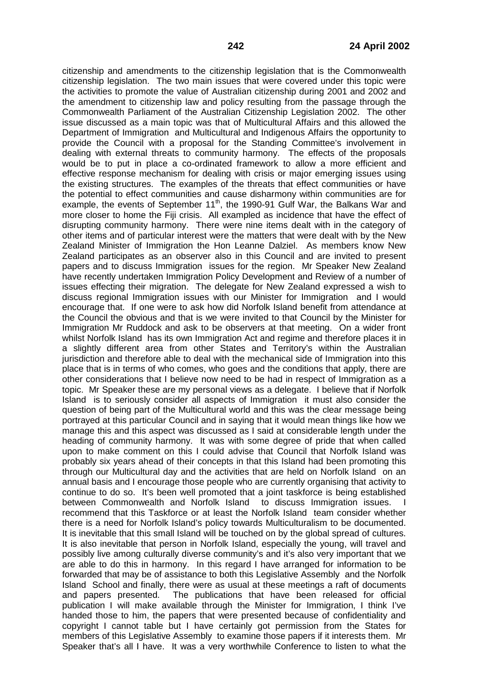citizenship and amendments to the citizenship legislation that is the Commonwealth citizenship legislation. The two main issues that were covered under this topic were the activities to promote the value of Australian citizenship during 2001 and 2002 and the amendment to citizenship law and policy resulting from the passage through the Commonwealth Parliament of the Australian Citizenship Legislation 2002. The other issue discussed as a main topic was that of Multicultural Affairs and this allowed the Department of Immigration and Multicultural and Indigenous Affairs the opportunity to provide the Council with a proposal for the Standing Committee's involvement in dealing with external threats to community harmony. The effects of the proposals would be to put in place a co-ordinated framework to allow a more efficient and effective response mechanism for dealing with crisis or major emerging issues using the existing structures. The examples of the threats that effect communities or have the potential to effect communities and cause disharmony within communities are for example, the events of September 11<sup>th</sup>, the 1990-91 Gulf War, the Balkans War and more closer to home the Fiji crisis. All exampled as incidence that have the effect of disrupting community harmony. There were nine items dealt with in the category of other items and of particular interest were the matters that were dealt with by the New Zealand Minister of Immigration the Hon Leanne Dalziel. As members know New Zealand participates as an observer also in this Council and are invited to present papers and to discuss Immigration issues for the region. Mr Speaker New Zealand have recently undertaken Immigration Policy Development and Review of a number of issues effecting their migration. The delegate for New Zealand expressed a wish to discuss regional Immigration issues with our Minister for Immigration and I would encourage that. If one were to ask how did Norfolk Island benefit from attendance at the Council the obvious and that is we were invited to that Council by the Minister for Immigration Mr Ruddock and ask to be observers at that meeting. On a wider front whilst Norfolk Island has its own Immigration Act and regime and therefore places it in a slightly different area from other States and Territory's within the Australian jurisdiction and therefore able to deal with the mechanical side of Immigration into this place that is in terms of who comes, who goes and the conditions that apply, there are other considerations that I believe now need to be had in respect of Immigration as a topic. Mr Speaker these are my personal views as a delegate. I believe that if Norfolk Island is to seriously consider all aspects of Immigration it must also consider the question of being part of the Multicultural world and this was the clear message being portrayed at this particular Council and in saying that it would mean things like how we manage this and this aspect was discussed as I said at considerable length under the heading of community harmony. It was with some degree of pride that when called upon to make comment on this I could advise that Council that Norfolk Island was probably six years ahead of their concepts in that this Island had been promoting this through our Multicultural day and the activities that are held on Norfolk Island on an annual basis and I encourage those people who are currently organising that activity to continue to do so. It's been well promoted that a joint taskforce is being established between Commonwealth and Norfolk Island to discuss Immigration issues. I recommend that this Taskforce or at least the Norfolk Island team consider whether there is a need for Norfolk Island's policy towards Multiculturalism to be documented. It is inevitable that this small Island will be touched on by the global spread of cultures. It is also inevitable that person in Norfolk Island, especially the young, will travel and possibly live among culturally diverse community's and it's also very important that we are able to do this in harmony. In this regard I have arranged for information to be forwarded that may be of assistance to both this Legislative Assembly and the Norfolk Island School and finally, there were as usual at these meetings a raft of documents and papers presented. The publications that have been released for official publication I will make available through the Minister for Immigration, I think I've handed those to him, the papers that were presented because of confidentiality and copyright I cannot table but I have certainly got permission from the States for members of this Legislative Assembly to examine those papers if it interests them. Mr Speaker that's all I have. It was a very worthwhile Conference to listen to what the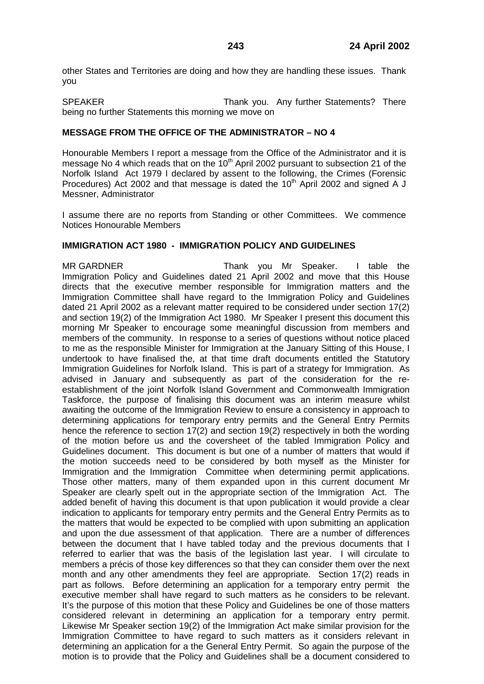other States and Territories are doing and how they are handling these issues. Thank you

SPEAKER Thank you. Any further Statements? There being no further Statements this morning we move on

# **MESSAGE FROM THE OFFICE OF THE ADMINISTRATOR – NO 4**

Honourable Members I report a message from the Office of the Administrator and it is message No 4 which reads that on the  $10<sup>th</sup>$  April 2002 pursuant to subsection 21 of the Norfolk Island Act 1979 I declared by assent to the following, the Crimes (Forensic Procedures) Act 2002 and that message is dated the  $10<sup>th</sup>$  April 2002 and signed A J Messner, Administrator

I assume there are no reports from Standing or other Committees. We commence Notices Honourable Members

# **IMMIGRATION ACT 1980 - IMMIGRATION POLICY AND GUIDELINES**

MR GARDNER Thank you Mr Speaker. I table the Immigration Policy and Guidelines dated 21 April 2002 and move that this House directs that the executive member responsible for Immigration matters and the Immigration Committee shall have regard to the Immigration Policy and Guidelines dated 21 April 2002 as a relevant matter required to be considered under section 17(2) and section 19(2) of the Immigration Act 1980. Mr Speaker I present this document this morning Mr Speaker to encourage some meaningful discussion from members and members of the community. In response to a series of questions without notice placed to me as the responsible Minister for Immigration at the January Sitting of this House, I undertook to have finalised the, at that time draft documents entitled the Statutory Immigration Guidelines for Norfolk Island. This is part of a strategy for Immigration. As advised in January and subsequently as part of the consideration for the reestablishment of the joint Norfolk Island Government and Commonwealth Immigration Taskforce, the purpose of finalising this document was an interim measure whilst awaiting the outcome of the Immigration Review to ensure a consistency in approach to determining applications for temporary entry permits and the General Entry Permits hence the reference to section 17(2) and section 19(2) respectively in both the wording of the motion before us and the coversheet of the tabled Immigration Policy and Guidelines document. This document is but one of a number of matters that would if the motion succeeds need to be considered by both myself as the Minister for Immigration and the Immigration Committee when determining permit applications. Those other matters, many of them expanded upon in this current document Mr Speaker are clearly spelt out in the appropriate section of the Immigration Act. The added benefit of having this document is that upon publication it would provide a clear indication to applicants for temporary entry permits and the General Entry Permits as to the matters that would be expected to be complied with upon submitting an application and upon the due assessment of that application. There are a number of differences between the document that I have tabled today and the previous documents that I referred to earlier that was the basis of the legislation last year. I will circulate to members a précis of those key differences so that they can consider them over the next month and any other amendments they feel are appropriate. Section 17(2) reads in part as follows. Before determining an application for a temporary entry permit the executive member shall have regard to such matters as he considers to be relevant. It's the purpose of this motion that these Policy and Guidelines be one of those matters considered relevant in determining an application for a temporary entry permit. Likewise Mr Speaker section 19(2) of the Immigration Act make similar provision for the Immigration Committee to have regard to such matters as it considers relevant in determining an application for a the General Entry Permit. So again the purpose of the motion is to provide that the Policy and Guidelines shall be a document considered to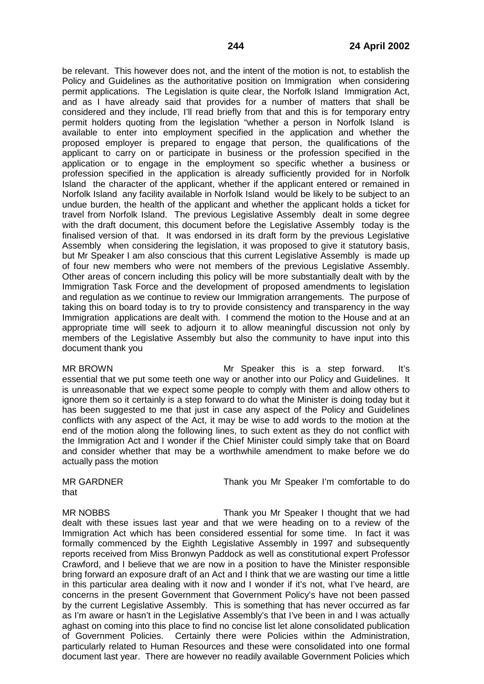be relevant. This however does not, and the intent of the motion is not, to establish the Policy and Guidelines as the authoritative position on Immigration when considering permit applications. The Legislation is quite clear, the Norfolk Island Immigration Act, and as I have already said that provides for a number of matters that shall be considered and they include, I'll read briefly from that and this is for temporary entry permit holders quoting from the legislation "whether a person in Norfolk Island is available to enter into employment specified in the application and whether the proposed employer is prepared to engage that person, the qualifications of the applicant to carry on or participate in business or the profession specified in the application or to engage in the employment so specific whether a business or profession specified in the application is already sufficiently provided for in Norfolk Island the character of the applicant, whether if the applicant entered or remained in Norfolk Island any facility available in Norfolk Island would be likely to be subject to an undue burden, the health of the applicant and whether the applicant holds a ticket for travel from Norfolk Island. The previous Legislative Assembly dealt in some degree with the draft document, this document before the Legislative Assembly today is the finalised version of that. It was endorsed in its draft form by the previous Legislative Assembly when considering the legislation, it was proposed to give it statutory basis, but Mr Speaker I am also conscious that this current Legislative Assembly is made up of four new members who were not members of the previous Legislative Assembly. Other areas of concern including this policy will be more substantially dealt with by the Immigration Task Force and the development of proposed amendments to legislation and regulation as we continue to review our Immigration arrangements. The purpose of taking this on board today is to try to provide consistency and transparency in the way Immigration applications are dealt with. I commend the motion to the House and at an appropriate time will seek to adjourn it to allow meaningful discussion not only by members of the Legislative Assembly but also the community to have input into this document thank you

MR BROWN Mr Speaker this is a step forward. It's essential that we put some teeth one way or another into our Policy and Guidelines. It is unreasonable that we expect some people to comply with them and allow others to ignore them so it certainly is a step forward to do what the Minister is doing today but it has been suggested to me that just in case any aspect of the Policy and Guidelines conflicts with any aspect of the Act, it may be wise to add words to the motion at the end of the motion along the following lines, to such extent as they do not conflict with the Immigration Act and I wonder if the Chief Minister could simply take that on Board and consider whether that may be a worthwhile amendment to make before we do actually pass the motion

that

MR GARDNER Thank you Mr Speaker I'm comfortable to do

MR NOBBS Thank you Mr Speaker I thought that we had dealt with these issues last year and that we were heading on to a review of the Immigration Act which has been considered essential for some time. In fact it was formally commenced by the Eighth Legislative Assembly in 1997 and subsequently reports received from Miss Bronwyn Paddock as well as constitutional expert Professor Crawford, and I believe that we are now in a position to have the Minister responsible bring forward an exposure draft of an Act and I think that we are wasting our time a little in this particular area dealing with it now and I wonder if it's not, what I've heard, are concerns in the present Government that Government Policy's have not been passed by the current Legislative Assembly. This is something that has never occurred as far as I'm aware or hasn't in the Legislative Assembly's that I've been in and I was actually aghast on coming into this place to find no concise list let alone consolidated publication of Government Policies. Certainly there were Policies within the Administration, particularly related to Human Resources and these were consolidated into one formal document last year. There are however no readily available Government Policies which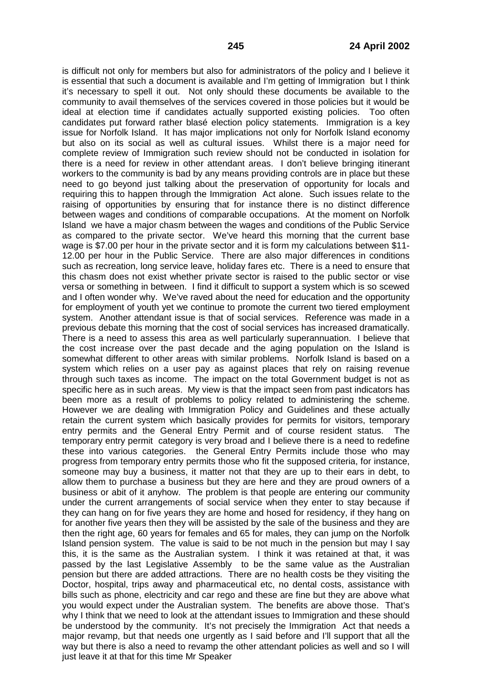is difficult not only for members but also for administrators of the policy and I believe it is essential that such a document is available and I'm getting of Immigration but I think it's necessary to spell it out. Not only should these documents be available to the community to avail themselves of the services covered in those policies but it would be ideal at election time if candidates actually supported existing policies. Too often candidates put forward rather blasé election policy statements. Immigration is a key issue for Norfolk Island. It has major implications not only for Norfolk Island economy but also on its social as well as cultural issues. Whilst there is a major need for complete review of Immigration such review should not be conducted in isolation for there is a need for review in other attendant areas. I don't believe bringing itinerant workers to the community is bad by any means providing controls are in place but these need to go beyond just talking about the preservation of opportunity for locals and requiring this to happen through the Immigration Act alone. Such issues relate to the raising of opportunities by ensuring that for instance there is no distinct difference between wages and conditions of comparable occupations. At the moment on Norfolk Island we have a major chasm between the wages and conditions of the Public Service as compared to the private sector. We've heard this morning that the current base wage is \$7.00 per hour in the private sector and it is form my calculations between \$11- 12.00 per hour in the Public Service. There are also major differences in conditions such as recreation, long service leave, holiday fares etc. There is a need to ensure that this chasm does not exist whether private sector is raised to the public sector or vise versa or something in between. I find it difficult to support a system which is so scewed and I often wonder why. We've raved about the need for education and the opportunity for employment of youth yet we continue to promote the current two tiered employment system. Another attendant issue is that of social services. Reference was made in a previous debate this morning that the cost of social services has increased dramatically. There is a need to assess this area as well particularly superannuation. I believe that the cost increase over the past decade and the aging population on the Island is somewhat different to other areas with similar problems. Norfolk Island is based on a system which relies on a user pay as against places that rely on raising revenue through such taxes as income. The impact on the total Government budget is not as specific here as in such areas. My view is that the impact seen from past indicators has been more as a result of problems to policy related to administering the scheme. However we are dealing with Immigration Policy and Guidelines and these actually retain the current system which basically provides for permits for visitors, temporary entry permits and the General Entry Permit and of course resident status. The temporary entry permit category is very broad and I believe there is a need to redefine these into various categories. the General Entry Permits include those who may progress from temporary entry permits those who fit the supposed criteria, for instance, someone may buy a business, it matter not that they are up to their ears in debt, to allow them to purchase a business but they are here and they are proud owners of a business or abit of it anyhow. The problem is that people are entering our community under the current arrangements of social service when they enter to stay because if they can hang on for five years they are home and hosed for residency, if they hang on for another five years then they will be assisted by the sale of the business and they are then the right age, 60 years for females and 65 for males, they can jump on the Norfolk Island pension system. The value is said to be not much in the pension but may I say this, it is the same as the Australian system. I think it was retained at that, it was passed by the last Legislative Assembly to be the same value as the Australian pension but there are added attractions. There are no health costs be they visiting the Doctor, hospital, trips away and pharmaceutical etc, no dental costs, assistance with bills such as phone, electricity and car rego and these are fine but they are above what you would expect under the Australian system. The benefits are above those. That's why I think that we need to look at the attendant issues to Immigration and these should be understood by the community. It's not precisely the Immigration Act that needs a major revamp, but that needs one urgently as I said before and I'll support that all the way but there is also a need to revamp the other attendant policies as well and so I will iust leave it at that for this time Mr Speaker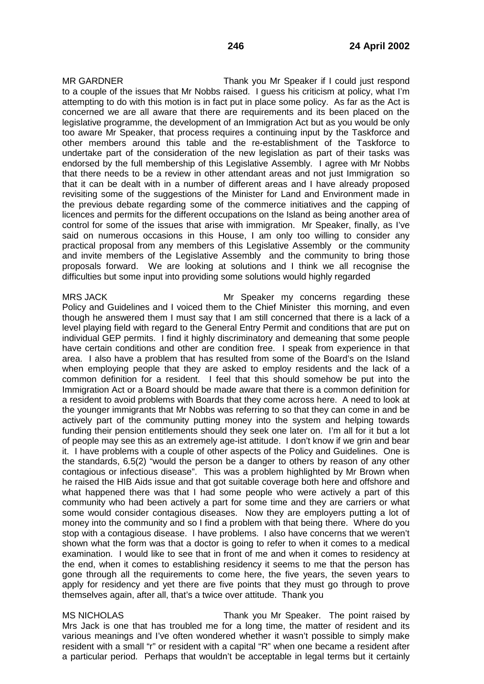MR GARDNER Thank you Mr Speaker if I could just respond to a couple of the issues that Mr Nobbs raised. I guess his criticism at policy, what I'm attempting to do with this motion is in fact put in place some policy. As far as the Act is concerned we are all aware that there are requirements and its been placed on the legislative programme, the development of an Immigration Act but as you would be only too aware Mr Speaker, that process requires a continuing input by the Taskforce and other members around this table and the re-establishment of the Taskforce to undertake part of the consideration of the new legislation as part of their tasks was endorsed by the full membership of this Legislative Assembly. I agree with Mr Nobbs that there needs to be a review in other attendant areas and not just Immigration so that it can be dealt with in a number of different areas and I have already proposed revisiting some of the suggestions of the Minister for Land and Environment made in the previous debate regarding some of the commerce initiatives and the capping of licences and permits for the different occupations on the Island as being another area of control for some of the issues that arise with immigration. Mr Speaker, finally, as I've said on numerous occasions in this House, I am only too willing to consider any practical proposal from any members of this Legislative Assembly or the community and invite members of the Legislative Assembly and the community to bring those proposals forward. We are looking at solutions and I think we all recognise the difficulties but some input into providing some solutions would highly regarded

MRS JACK Mr Speaker my concerns regarding these Policy and Guidelines and I voiced them to the Chief Minister this morning, and even though he answered them I must say that I am still concerned that there is a lack of a level playing field with regard to the General Entry Permit and conditions that are put on individual GEP permits. I find it highly discriminatory and demeaning that some people have certain conditions and other are condition free. I speak from experience in that area. I also have a problem that has resulted from some of the Board's on the Island when employing people that they are asked to employ residents and the lack of a common definition for a resident. I feel that this should somehow be put into the Immigration Act or a Board should be made aware that there is a common definition for a resident to avoid problems with Boards that they come across here. A need to look at the younger immigrants that Mr Nobbs was referring to so that they can come in and be actively part of the community putting money into the system and helping towards funding their pension entitlements should they seek one later on. I'm all for it but a lot of people may see this as an extremely age-ist attitude. I don't know if we grin and bear it. I have problems with a couple of other aspects of the Policy and Guidelines. One is the standards, 6.5(2) "would the person be a danger to others by reason of any other contagious or infectious disease". This was a problem highlighted by Mr Brown when he raised the HIB Aids issue and that got suitable coverage both here and offshore and what happened there was that I had some people who were actively a part of this community who had been actively a part for some time and they are carriers or what some would consider contagious diseases. Now they are employers putting a lot of money into the community and so I find a problem with that being there. Where do you stop with a contagious disease. I have problems. I also have concerns that we weren't shown what the form was that a doctor is going to refer to when it comes to a medical examination. I would like to see that in front of me and when it comes to residency at the end, when it comes to establishing residency it seems to me that the person has gone through all the requirements to come here, the five years, the seven years to apply for residency and yet there are five points that they must go through to prove themselves again, after all, that's a twice over attitude. Thank you

MS NICHOLAS Thank you Mr Speaker. The point raised by Mrs Jack is one that has troubled me for a long time, the matter of resident and its various meanings and I've often wondered whether it wasn't possible to simply make resident with a small "r" or resident with a capital "R" when one became a resident after a particular period. Perhaps that wouldn't be acceptable in legal terms but it certainly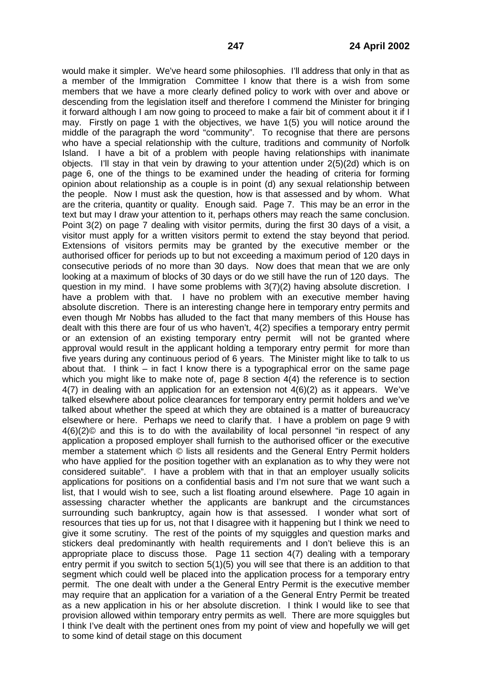would make it simpler. We've heard some philosophies. I'll address that only in that as a member of the Immigration Committee I know that there is a wish from some members that we have a more clearly defined policy to work with over and above or descending from the legislation itself and therefore I commend the Minister for bringing it forward although I am now going to proceed to make a fair bit of comment about it if I may. Firstly on page 1 with the objectives, we have 1(5) you will notice around the middle of the paragraph the word "community". To recognise that there are persons who have a special relationship with the culture, traditions and community of Norfolk Island. I have a bit of a problem with people having relationships with inanimate objects. I'll stay in that vein by drawing to your attention under 2(5)(2d) which is on page 6, one of the things to be examined under the heading of criteria for forming opinion about relationship as a couple is in point (d) any sexual relationship between the people. Now I must ask the question, how is that assessed and by whom. What are the criteria, quantity or quality. Enough said. Page 7. This may be an error in the text but may I draw your attention to it, perhaps others may reach the same conclusion. Point 3(2) on page 7 dealing with visitor permits, during the first 30 days of a visit, a visitor must apply for a written visitors permit to extend the stay beyond that period. Extensions of visitors permits may be granted by the executive member or the authorised officer for periods up to but not exceeding a maximum period of 120 days in consecutive periods of no more than 30 days. Now does that mean that we are only looking at a maximum of blocks of 30 days or do we still have the run of 120 days. The question in my mind. I have some problems with 3(7)(2) having absolute discretion. I have a problem with that. I have no problem with an executive member having absolute discretion. There is an interesting change here in temporary entry permits and even though Mr Nobbs has alluded to the fact that many members of this House has dealt with this there are four of us who haven't, 4(2) specifies a temporary entry permit or an extension of an existing temporary entry permit will not be granted where approval would result in the applicant holding a temporary entry permit for more than five years during any continuous period of 6 years. The Minister might like to talk to us about that. I think – in fact I know there is a typographical error on the same page which you might like to make note of, page 8 section 4(4) the reference is to section 4(7) in dealing with an application for an extension not 4(6)(2) as it appears. We've talked elsewhere about police clearances for temporary entry permit holders and we've talked about whether the speed at which they are obtained is a matter of bureaucracy elsewhere or here. Perhaps we need to clarify that. I have a problem on page 9 with 4(6)(2)© and this is to do with the availability of local personnel "in respect of any application a proposed employer shall furnish to the authorised officer or the executive member a statement which © lists all residents and the General Entry Permit holders who have applied for the position together with an explanation as to why they were not considered suitable". I have a problem with that in that an employer usually solicits applications for positions on a confidential basis and I'm not sure that we want such a list, that I would wish to see, such a list floating around elsewhere. Page 10 again in assessing character whether the applicants are bankrupt and the circumstances surrounding such bankruptcy, again how is that assessed. I wonder what sort of resources that ties up for us, not that I disagree with it happening but I think we need to give it some scrutiny. The rest of the points of my squiggles and question marks and stickers deal predominantly with health requirements and I don't believe this is an appropriate place to discuss those. Page 11 section 4(7) dealing with a temporary entry permit if you switch to section 5(1)(5) you will see that there is an addition to that segment which could well be placed into the application process for a temporary entry permit. The one dealt with under a the General Entry Permit is the executive member may require that an application for a variation of a the General Entry Permit be treated as a new application in his or her absolute discretion. I think I would like to see that provision allowed within temporary entry permits as well. There are more squiggles but I think I've dealt with the pertinent ones from my point of view and hopefully we will get to some kind of detail stage on this document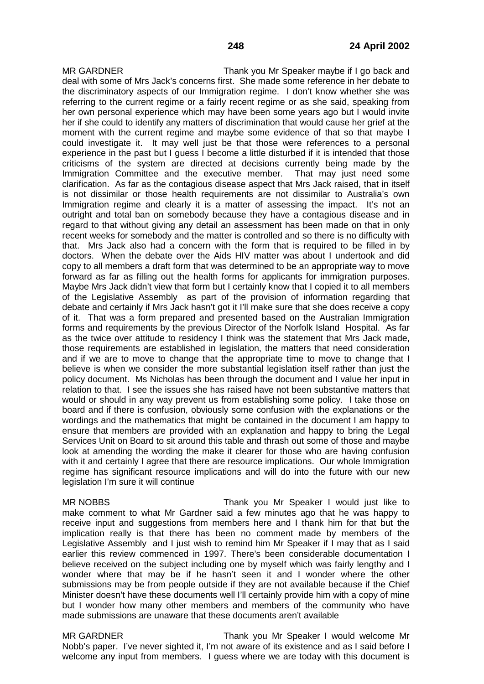MR GARDNER Thank you Mr Speaker maybe if I go back and deal with some of Mrs Jack's concerns first. She made some reference in her debate to the discriminatory aspects of our Immigration regime. I don't know whether she was referring to the current regime or a fairly recent regime or as she said, speaking from her own personal experience which may have been some years ago but I would invite her if she could to identify any matters of discrimination that would cause her grief at the moment with the current regime and maybe some evidence of that so that maybe I could investigate it. It may well just be that those were references to a personal experience in the past but I guess I become a little disturbed if it is intended that those criticisms of the system are directed at decisions currently being made by the Immigration Committee and the executive member. clarification. As far as the contagious disease aspect that Mrs Jack raised, that in itself is not dissimilar or those health requirements are not dissimilar to Australia's own Immigration regime and clearly it is a matter of assessing the impact. It's not an outright and total ban on somebody because they have a contagious disease and in regard to that without giving any detail an assessment has been made on that in only recent weeks for somebody and the matter is controlled and so there is no difficulty with that. Mrs Jack also had a concern with the form that is required to be filled in by doctors. When the debate over the Aids HIV matter was about I undertook and did copy to all members a draft form that was determined to be an appropriate way to move forward as far as filling out the health forms for applicants for immigration purposes. Maybe Mrs Jack didn't view that form but I certainly know that I copied it to all members of the Legislative Assembly as part of the provision of information regarding that debate and certainly if Mrs Jack hasn't got it I'll make sure that she does receive a copy of it. That was a form prepared and presented based on the Australian Immigration forms and requirements by the previous Director of the Norfolk Island Hospital. As far as the twice over attitude to residency I think was the statement that Mrs Jack made, those requirements are established in legislation, the matters that need consideration and if we are to move to change that the appropriate time to move to change that I believe is when we consider the more substantial legislation itself rather than just the policy document. Ms Nicholas has been through the document and I value her input in relation to that. I see the issues she has raised have not been substantive matters that would or should in any way prevent us from establishing some policy. I take those on board and if there is confusion, obviously some confusion with the explanations or the wordings and the mathematics that might be contained in the document I am happy to ensure that members are provided with an explanation and happy to bring the Legal Services Unit on Board to sit around this table and thrash out some of those and maybe look at amending the wording the make it clearer for those who are having confusion with it and certainly I agree that there are resource implications. Our whole Immigration regime has significant resource implications and will do into the future with our new legislation I'm sure it will continue

MR NOBBS Thank you Mr Speaker I would just like to make comment to what Mr Gardner said a few minutes ago that he was happy to receive input and suggestions from members here and I thank him for that but the implication really is that there has been no comment made by members of the Legislative Assembly and I just wish to remind him Mr Speaker if I may that as I said earlier this review commenced in 1997. There's been considerable documentation I believe received on the subject including one by myself which was fairly lengthy and I wonder where that may be if he hasn't seen it and I wonder where the other submissions may be from people outside if they are not available because if the Chief Minister doesn't have these documents well I'll certainly provide him with a copy of mine but I wonder how many other members and members of the community who have made submissions are unaware that these documents aren't available

MR GARDNER Thank you Mr Speaker I would welcome Mr Nobb's paper. I've never sighted it, I'm not aware of its existence and as I said before I welcome any input from members. I guess where we are today with this document is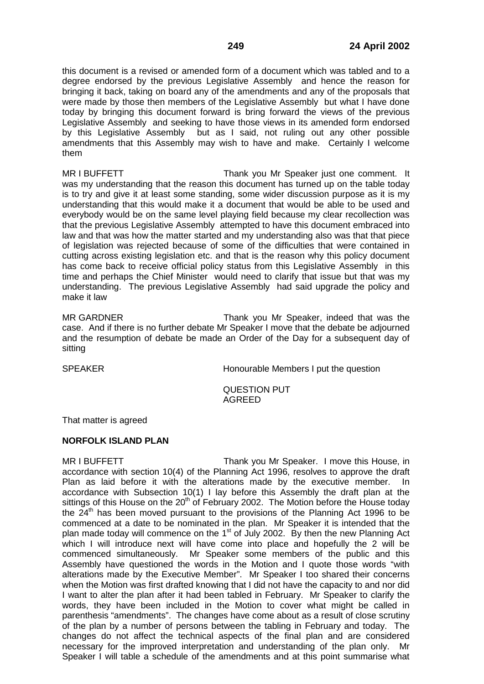this document is a revised or amended form of a document which was tabled and to a degree endorsed by the previous Legislative Assembly and hence the reason for bringing it back, taking on board any of the amendments and any of the proposals that were made by those then members of the Legislative Assembly but what I have done today by bringing this document forward is bring forward the views of the previous Legislative Assembly and seeking to have those views in its amended form endorsed by this Legislative Assembly but as I said, not ruling out any other possible amendments that this Assembly may wish to have and make. Certainly I welcome them

MR I BUFFETT THE STREAM Thank you Mr Speaker just one comment. It was my understanding that the reason this document has turned up on the table today is to try and give it at least some standing, some wider discussion purpose as it is my understanding that this would make it a document that would be able to be used and everybody would be on the same level playing field because my clear recollection was that the previous Legislative Assembly attempted to have this document embraced into law and that was how the matter started and my understanding also was that that piece of legislation was rejected because of some of the difficulties that were contained in cutting across existing legislation etc. and that is the reason why this policy document has come back to receive official policy status from this Legislative Assembly in this time and perhaps the Chief Minister would need to clarify that issue but that was my understanding. The previous Legislative Assembly had said upgrade the policy and make it law

MR GARDNER Thank you Mr Speaker, indeed that was the case. And if there is no further debate Mr Speaker I move that the debate be adjourned and the resumption of debate be made an Order of the Day for a subsequent day of sitting

SPEAKER **Honourable Members I put the question** 

# QUESTION PUT AGREED

That matter is agreed

# **NORFOLK ISLAND PLAN**

MR I BUFFETT THE THANK YOU Mr Speaker. I move this House, in accordance with section 10(4) of the Planning Act 1996, resolves to approve the draft Plan as laid before it with the alterations made by the executive member. In accordance with Subsection 10(1) I lay before this Assembly the draft plan at the sittings of this House on the  $20<sup>th</sup>$  of February 2002. The Motion before the House today the  $24<sup>th</sup>$  has been moved pursuant to the provisions of the Planning Act 1996 to be commenced at a date to be nominated in the plan. Mr Speaker it is intended that the plan made today will commence on the 1st of July 2002. By then the new Planning Act which I will introduce next will have come into place and hopefully the 2 will be commenced simultaneously. Mr Speaker some members of the public and this Assembly have questioned the words in the Motion and I quote those words "with alterations made by the Executive Member". Mr Speaker I too shared their concerns when the Motion was first drafted knowing that I did not have the capacity to and nor did I want to alter the plan after it had been tabled in February. Mr Speaker to clarify the words, they have been included in the Motion to cover what might be called in parenthesis "amendments". The changes have come about as a result of close scrutiny of the plan by a number of persons between the tabling in February and today. The changes do not affect the technical aspects of the final plan and are considered necessary for the improved interpretation and understanding of the plan only. Mr Speaker I will table a schedule of the amendments and at this point summarise what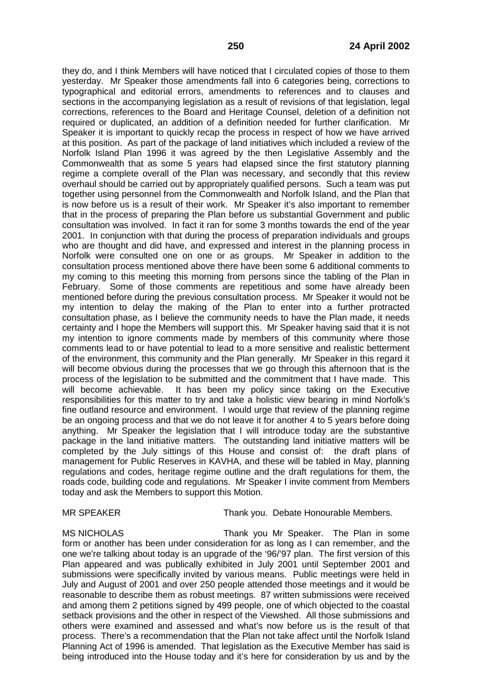they do, and I think Members will have noticed that I circulated copies of those to them yesterday. Mr Speaker those amendments fall into 6 categories being, corrections to typographical and editorial errors, amendments to references and to clauses and sections in the accompanying legislation as a result of revisions of that legislation, legal corrections, references to the Board and Heritage Counsel, deletion of a definition not required or duplicated, an addition of a definition needed for further clarification. Mr Speaker it is important to quickly recap the process in respect of how we have arrived at this position. As part of the package of land initiatives which included a review of the Norfolk Island Plan 1996 it was agreed by the then Legislative Assembly and the Commonwealth that as some 5 years had elapsed since the first statutory planning regime a complete overall of the Plan was necessary, and secondly that this review overhaul should be carried out by appropriately qualified persons. Such a team was put together using personnel from the Commonwealth and Norfolk Island, and the Plan that is now before us is a result of their work. Mr Speaker it's also important to remember that in the process of preparing the Plan before us substantial Government and public consultation was involved. In fact it ran for some 3 months towards the end of the year 2001. In conjunction with that during the process of preparation individuals and groups who are thought and did have, and expressed and interest in the planning process in Norfolk were consulted one on one or as groups. Mr Speaker in addition to the consultation process mentioned above there have been some 6 additional comments to my coming to this meeting this morning from persons since the tabling of the Plan in February. Some of those comments are repetitious and some have already been mentioned before during the previous consultation process. Mr Speaker it would not be my intention to delay the making of the Plan to enter into a further protracted consultation phase, as I believe the community needs to have the Plan made, it needs certainty and I hope the Members will support this. Mr Speaker having said that it is not my intention to ignore comments made by members of this community where those comments lead to or have potential to lead to a more sensitive and realistic betterment of the environment, this community and the Plan generally. Mr Speaker in this regard it will become obvious during the processes that we go through this afternoon that is the process of the legislation to be submitted and the commitment that I have made. This will become achievable. It has been my policy since taking on the Executive responsibilities for this matter to try and take a holistic view bearing in mind Norfolk's fine outland resource and environment. I would urge that review of the planning regime be an ongoing process and that we do not leave it for another 4 to 5 years before doing anything. Mr Speaker the legislation that I will introduce today are the substantive package in the land initiative matters. The outstanding land initiative matters will be completed by the July sittings of this House and consist of: the draft plans of management for Public Reserves in KAVHA, and these will be tabled in May, planning regulations and codes, heritage regime outline and the draft regulations for them, the roads code, building code and regulations. Mr Speaker I invite comment from Members today and ask the Members to support this Motion.

MR SPEAKER Thank you. Debate Honourable Members.

MS NICHOLAS Thank you Mr Speaker. The Plan in some form or another has been under consideration for as long as I can remember, and the one we're talking about today is an upgrade of the '96/'97 plan. The first version of this Plan appeared and was publically exhibited in July 2001 until September 2001 and submissions were specifically invited by various means. Public meetings were held in July and August of 2001 and over 250 people attended those meetings and it would be reasonable to describe them as robust meetings. 87 written submissions were received and among them 2 petitions signed by 499 people, one of which objected to the coastal setback provisions and the other in respect of the Viewshed. All those submissions and others were examined and assessed and what's now before us is the result of that process. There's a recommendation that the Plan not take affect until the Norfolk Island Planning Act of 1996 is amended. That legislation as the Executive Member has said is being introduced into the House today and it's here for consideration by us and by the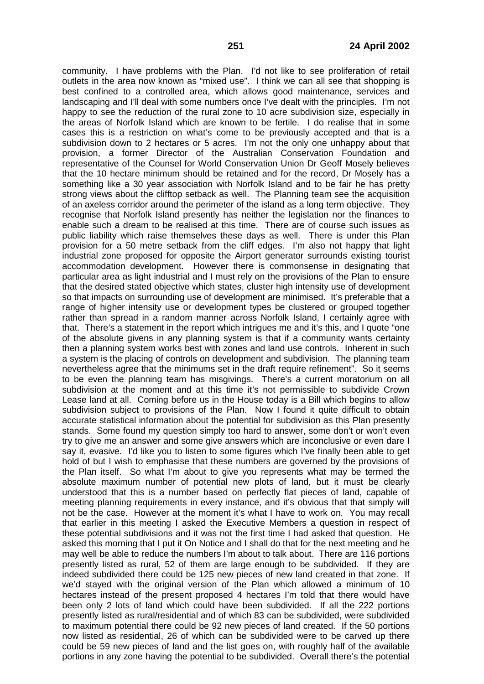community. I have problems with the Plan. I'd not like to see proliferation of retail outlets in the area now known as "mixed use". I think we can all see that shopping is best confined to a controlled area, which allows good maintenance, services and landscaping and I'll deal with some numbers once I've dealt with the principles. I'm not happy to see the reduction of the rural zone to 10 acre subdivision size, especially in the areas of Norfolk Island which are known to be fertile. I do realise that in some cases this is a restriction on what's come to be previously accepted and that is a subdivision down to 2 hectares or 5 acres. I'm not the only one unhappy about that provision, a former Director of the Australian Conservation Foundation and representative of the Counsel for World Conservation Union Dr Geoff Mosely believes that the 10 hectare minimum should be retained and for the record, Dr Mosely has a something like a 30 year association with Norfolk Island and to be fair he has pretty strong views about the clifftop setback as well. The Planning team see the acquisition of an axeless corridor around the perimeter of the island as a long term objective. They recognise that Norfolk Island presently has neither the legislation nor the finances to enable such a dream to be realised at this time. There are of course such issues as public liability which raise themselves these days as well. There is under this Plan provision for a 50 metre setback from the cliff edges. I'm also not happy that light industrial zone proposed for opposite the Airport generator surrounds existing tourist accommodation development. However there is commonsense in designating that particular area as light industrial and I must rely on the provisions of the Plan to ensure that the desired stated objective which states, cluster high intensity use of development so that impacts on surrounding use of development are minimised. It's preferable that a range of higher intensity use or development types be clustered or grouped together rather than spread in a random manner across Norfolk Island, I certainly agree with that. There's a statement in the report which intrigues me and it's this, and I quote "one of the absolute givens in any planning system is that if a community wants certainty then a planning system works best with zones and land use controls. Inherent in such a system is the placing of controls on development and subdivision. The planning team nevertheless agree that the minimums set in the draft require refinement". So it seems to be even the planning team has misgivings. There's a current moratorium on all subdivision at the moment and at this time it's not permissible to subdivide Crown Lease land at all. Coming before us in the House today is a Bill which begins to allow subdivision subject to provisions of the Plan. Now I found it quite difficult to obtain accurate statistical information about the potential for subdivision as this Plan presently stands. Some found my question simply too hard to answer, some don't or won't even try to give me an answer and some give answers which are inconclusive or even dare I say it, evasive. I'd like you to listen to some figures which I've finally been able to get hold of but I wish to emphasise that these numbers are governed by the provisions of the Plan itself. So what I'm about to give you represents what may be termed the absolute maximum number of potential new plots of land, but it must be clearly understood that this is a number based on perfectly flat pieces of land, capable of meeting planning requirements in every instance, and it's obvious that that simply will not be the case. However at the moment it's what I have to work on. You may recall that earlier in this meeting I asked the Executive Members a question in respect of these potential subdivisions and it was not the first time I had asked that question. He asked this morning that I put it On Notice and I shall do that for the next meeting and he may well be able to reduce the numbers I'm about to talk about. There are 116 portions presently listed as rural, 52 of them are large enough to be subdivided. If they are indeed subdivided there could be 125 new pieces of new land created in that zone. If we'd stayed with the original version of the Plan which allowed a minimum of 10 hectares instead of the present proposed 4 hectares I'm told that there would have been only 2 lots of land which could have been subdivided. If all the 222 portions presently listed as rural/residential and of which 83 can be subdivided, were subdivided to maximum potential there could be 92 new pieces of land created. If the 50 portions now listed as residential, 26 of which can be subdivided were to be carved up there could be 59 new pieces of land and the list goes on, with roughly half of the available portions in any zone having the potential to be subdivided. Overall there's the potential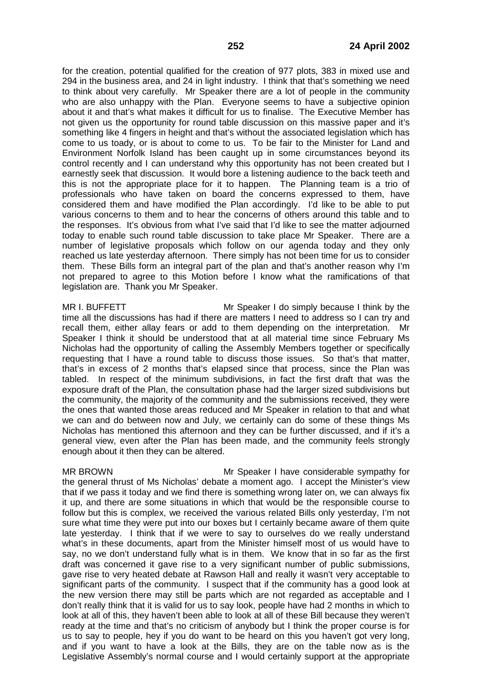for the creation, potential qualified for the creation of 977 plots, 383 in mixed use and 294 in the business area, and 24 in light industry. I think that that's something we need to think about very carefully. Mr Speaker there are a lot of people in the community who are also unhappy with the Plan. Everyone seems to have a subjective opinion about it and that's what makes it difficult for us to finalise. The Executive Member has not given us the opportunity for round table discussion on this massive paper and it's something like 4 fingers in height and that's without the associated legislation which has come to us toady, or is about to come to us. To be fair to the Minister for Land and Environment Norfolk Island has been caught up in some circumstances beyond its control recently and I can understand why this opportunity has not been created but I earnestly seek that discussion. It would bore a listening audience to the back teeth and this is not the appropriate place for it to happen. The Planning team is a trio of professionals who have taken on board the concerns expressed to them, have considered them and have modified the Plan accordingly. I'd like to be able to put various concerns to them and to hear the concerns of others around this table and to the responses. It's obvious from what I've said that I'd like to see the matter adjourned today to enable such round table discussion to take place Mr Speaker. There are a number of legislative proposals which follow on our agenda today and they only reached us late yesterday afternoon. There simply has not been time for us to consider them. These Bills form an integral part of the plan and that's another reason why I'm not prepared to agree to this Motion before I know what the ramifications of that legislation are. Thank you Mr Speaker.

MR I. BUFFETT Mr Speaker I do simply because I think by the time all the discussions has had if there are matters I need to address so I can try and recall them, either allay fears or add to them depending on the interpretation. Mr Speaker I think it should be understood that at all material time since February Ms Nicholas had the opportunity of calling the Assembly Members together or specifically requesting that I have a round table to discuss those issues. So that's that matter, that's in excess of 2 months that's elapsed since that process, since the Plan was tabled. In respect of the minimum subdivisions, in fact the first draft that was the exposure draft of the Plan, the consultation phase had the larger sized subdivisions but the community, the majority of the community and the submissions received, they were the ones that wanted those areas reduced and Mr Speaker in relation to that and what we can and do between now and July, we certainly can do some of these things Ms Nicholas has mentioned this afternoon and they can be further discussed, and if it's a general view, even after the Plan has been made, and the community feels strongly enough about it then they can be altered.

MR BROWN Mr Speaker I have considerable sympathy for the general thrust of Ms Nicholas' debate a moment ago. I accept the Minister's view that if we pass it today and we find there is something wrong later on, we can always fix it up, and there are some situations in which that would be the responsible course to follow but this is complex, we received the various related Bills only yesterday, I'm not sure what time they were put into our boxes but I certainly became aware of them quite late yesterday. I think that if we were to say to ourselves do we really understand what's in these documents, apart from the Minister himself most of us would have to say, no we don't understand fully what is in them. We know that in so far as the first draft was concerned it gave rise to a very significant number of public submissions, gave rise to very heated debate at Rawson Hall and really it wasn't very acceptable to significant parts of the community. I suspect that if the community has a good look at the new version there may still be parts which are not regarded as acceptable and I don't really think that it is valid for us to say look, people have had 2 months in which to look at all of this, they haven't been able to look at all of these Bill because they weren't ready at the time and that's no criticism of anybody but I think the proper course is for us to say to people, hey if you do want to be heard on this you haven't got very long, and if you want to have a look at the Bills, they are on the table now as is the Legislative Assembly's normal course and I would certainly support at the appropriate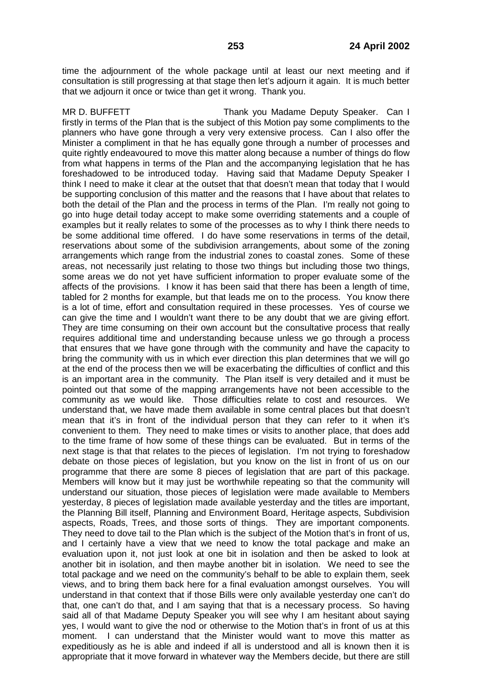time the adjournment of the whole package until at least our next meeting and if consultation is still progressing at that stage then let's adjourn it again. It is much better that we adjourn it once or twice than get it wrong. Thank you.

MR D. BUFFETT THE STAND Thank you Madame Deputy Speaker. Can I firstly in terms of the Plan that is the subject of this Motion pay some compliments to the planners who have gone through a very very extensive process. Can I also offer the Minister a compliment in that he has equally gone through a number of processes and quite rightly endeavoured to move this matter along because a number of things do flow from what happens in terms of the Plan and the accompanying legislation that he has foreshadowed to be introduced today. Having said that Madame Deputy Speaker I think I need to make it clear at the outset that that doesn't mean that today that I would be supporting conclusion of this matter and the reasons that I have about that relates to both the detail of the Plan and the process in terms of the Plan. I'm really not going to go into huge detail today accept to make some overriding statements and a couple of examples but it really relates to some of the processes as to why I think there needs to be some additional time offered. I do have some reservations in terms of the detail, reservations about some of the subdivision arrangements, about some of the zoning arrangements which range from the industrial zones to coastal zones. Some of these areas, not necessarily just relating to those two things but including those two things, some areas we do not yet have sufficient information to proper evaluate some of the affects of the provisions. I know it has been said that there has been a length of time, tabled for 2 months for example, but that leads me on to the process. You know there is a lot of time, effort and consultation required in these processes. Yes of course we can give the time and I wouldn't want there to be any doubt that we are giving effort. They are time consuming on their own account but the consultative process that really requires additional time and understanding because unless we go through a process that ensures that we have gone through with the community and have the capacity to bring the community with us in which ever direction this plan determines that we will go at the end of the process then we will be exacerbating the difficulties of conflict and this is an important area in the community. The Plan itself is very detailed and it must be pointed out that some of the mapping arrangements have not been accessible to the community as we would like. Those difficulties relate to cost and resources. We understand that, we have made them available in some central places but that doesn't mean that it's in front of the individual person that they can refer to it when it's convenient to them. They need to make times or visits to another place, that does add to the time frame of how some of these things can be evaluated. But in terms of the next stage is that that relates to the pieces of legislation. I'm not trying to foreshadow debate on those pieces of legislation, but you know on the list in front of us on our programme that there are some 8 pieces of legislation that are part of this package. Members will know but it may just be worthwhile repeating so that the community will understand our situation, those pieces of legislation were made available to Members yesterday, 8 pieces of legislation made available yesterday and the titles are important, the Planning Bill itself, Planning and Environment Board, Heritage aspects, Subdivision aspects, Roads, Trees, and those sorts of things. They are important components. They need to dove tail to the Plan which is the subject of the Motion that's in front of us, and I certainly have a view that we need to know the total package and make an evaluation upon it, not just look at one bit in isolation and then be asked to look at another bit in isolation, and then maybe another bit in isolation. We need to see the total package and we need on the community's behalf to be able to explain them, seek views, and to bring them back here for a final evaluation amongst ourselves. You will understand in that context that if those Bills were only available yesterday one can't do that, one can't do that, and I am saying that that is a necessary process. So having said all of that Madame Deputy Speaker you will see why I am hesitant about saying yes, I would want to give the nod or otherwise to the Motion that's in front of us at this moment. I can understand that the Minister would want to move this matter as expeditiously as he is able and indeed if all is understood and all is known then it is appropriate that it move forward in whatever way the Members decide, but there are still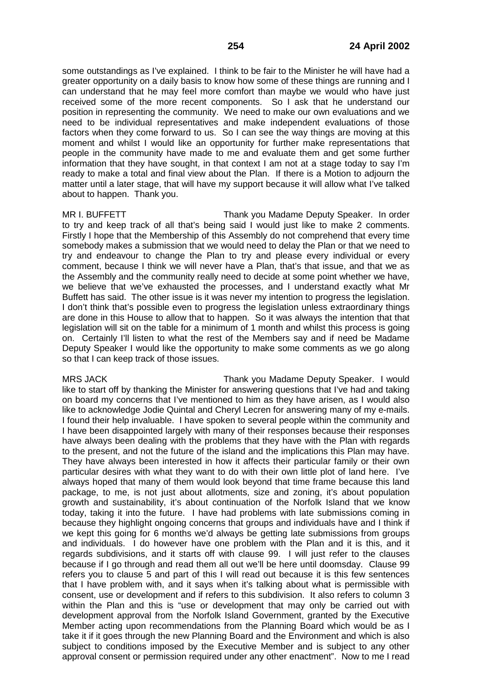some outstandings as I've explained. I think to be fair to the Minister he will have had a greater opportunity on a daily basis to know how some of these things are running and I can understand that he may feel more comfort than maybe we would who have just received some of the more recent components. So I ask that he understand our position in representing the community. We need to make our own evaluations and we need to be individual representatives and make independent evaluations of those factors when they come forward to us. So I can see the way things are moving at this moment and whilst I would like an opportunity for further make representations that people in the community have made to me and evaluate them and get some further information that they have sought, in that context I am not at a stage today to say I'm ready to make a total and final view about the Plan. If there is a Motion to adjourn the matter until a later stage, that will have my support because it will allow what I've talked about to happen. Thank you.

MR I. BUFFETT THE STATE Thank you Madame Deputy Speaker. In order to try and keep track of all that's being said I would just like to make 2 comments. Firstly I hope that the Membership of this Assembly do not comprehend that every time somebody makes a submission that we would need to delay the Plan or that we need to try and endeavour to change the Plan to try and please every individual or every comment, because I think we will never have a Plan, that's that issue, and that we as the Assembly and the community really need to decide at some point whether we have, we believe that we've exhausted the processes, and I understand exactly what Mr Buffett has said. The other issue is it was never my intention to progress the legislation. I don't think that's possible even to progress the legislation unless extraordinary things are done in this House to allow that to happen. So it was always the intention that that legislation will sit on the table for a minimum of 1 month and whilst this process is going on. Certainly I'll listen to what the rest of the Members say and if need be Madame Deputy Speaker I would like the opportunity to make some comments as we go along so that I can keep track of those issues.

MRS JACK Thank you Madame Deputy Speaker. I would like to start off by thanking the Minister for answering questions that I've had and taking on board my concerns that I've mentioned to him as they have arisen, as I would also like to acknowledge Jodie Quintal and Cheryl Lecren for answering many of my e-mails. I found their help invaluable. I have spoken to several people within the community and I have been disappointed largely with many of their responses because their responses have always been dealing with the problems that they have with the Plan with regards to the present, and not the future of the island and the implications this Plan may have. They have always been interested in how it affects their particular family or their own particular desires with what they want to do with their own little plot of land here. I've always hoped that many of them would look beyond that time frame because this land package, to me, is not just about allotments, size and zoning, it's about population growth and sustainability, it's about continuation of the Norfolk Island that we know today, taking it into the future. I have had problems with late submissions coming in because they highlight ongoing concerns that groups and individuals have and I think if we kept this going for 6 months we'd always be getting late submissions from groups and individuals. I do however have one problem with the Plan and it is this, and it regards subdivisions, and it starts off with clause 99. I will just refer to the clauses because if I go through and read them all out we'll be here until doomsday. Clause 99 refers you to clause 5 and part of this I will read out because it is this few sentences that I have problem with, and it says when it's talking about what is permissible with consent, use or development and if refers to this subdivision. It also refers to column 3 within the Plan and this is "use or development that may only be carried out with development approval from the Norfolk Island Government, granted by the Executive Member acting upon recommendations from the Planning Board which would be as I take it if it goes through the new Planning Board and the Environment and which is also subject to conditions imposed by the Executive Member and is subject to any other approval consent or permission required under any other enactment". Now to me I read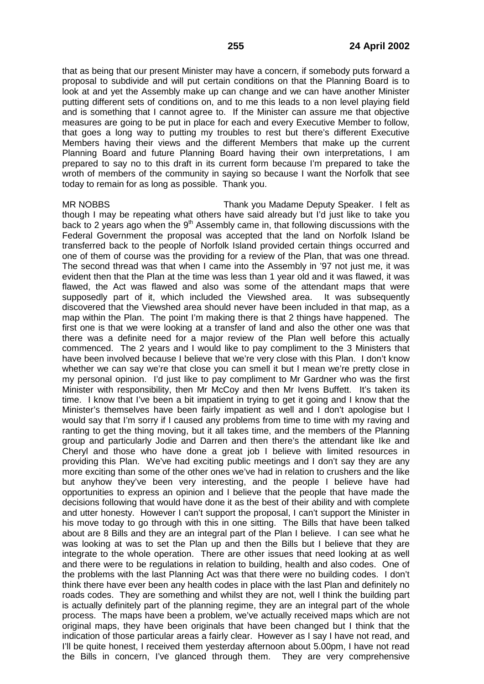that as being that our present Minister may have a concern, if somebody puts forward a proposal to subdivide and will put certain conditions on that the Planning Board is to look at and yet the Assembly make up can change and we can have another Minister putting different sets of conditions on, and to me this leads to a non level playing field and is something that I cannot agree to. If the Minister can assure me that objective measures are going to be put in place for each and every Executive Member to follow, that goes a long way to putting my troubles to rest but there's different Executive Members having their views and the different Members that make up the current Planning Board and future Planning Board having their own interpretations, I am prepared to say no to this draft in its current form because I'm prepared to take the wroth of members of the community in saying so because I want the Norfolk that see today to remain for as long as possible. Thank you.

MR NOBBS Thank you Madame Deputy Speaker. I felt as though I may be repeating what others have said already but I'd just like to take you back to 2 years ago when the  $9<sup>th</sup>$  Assembly came in, that following discussions with the Federal Government the proposal was accepted that the land on Norfolk Island be transferred back to the people of Norfolk Island provided certain things occurred and one of them of course was the providing for a review of the Plan, that was one thread. The second thread was that when I came into the Assembly in '97 not just me, it was evident then that the Plan at the time was less than 1 year old and it was flawed, it was flawed, the Act was flawed and also was some of the attendant maps that were supposedly part of it, which included the Viewshed area. It was subsequently discovered that the Viewshed area should never have been included in that map, as a map within the Plan. The point I'm making there is that 2 things have happened. The first one is that we were looking at a transfer of land and also the other one was that there was a definite need for a major review of the Plan well before this actually commenced. The 2 years and I would like to pay compliment to the 3 Ministers that have been involved because I believe that we're very close with this Plan. I don't know whether we can say we're that close you can smell it but I mean we're pretty close in my personal opinion. I'd just like to pay compliment to Mr Gardner who was the first Minister with responsibility, then Mr McCoy and then Mr Ivens Buffett. It's taken its time. I know that I've been a bit impatient in trying to get it going and I know that the Minister's themselves have been fairly impatient as well and I don't apologise but I would say that I'm sorry if I caused any problems from time to time with my raving and ranting to get the thing moving, but it all takes time, and the members of the Planning group and particularly Jodie and Darren and then there's the attendant like Ike and Cheryl and those who have done a great job I believe with limited resources in providing this Plan. We've had exciting public meetings and I don't say they are any more exciting than some of the other ones we've had in relation to crushers and the like but anyhow they've been very interesting, and the people I believe have had opportunities to express an opinion and I believe that the people that have made the decisions following that would have done it as the best of their ability and with complete and utter honesty. However I can't support the proposal, I can't support the Minister in his move today to go through with this in one sitting. The Bills that have been talked about are 8 Bills and they are an integral part of the Plan I believe. I can see what he was looking at was to set the Plan up and then the Bills but I believe that they are integrate to the whole operation. There are other issues that need looking at as well and there were to be regulations in relation to building, health and also codes. One of the problems with the last Planning Act was that there were no building codes. I don't think there have ever been any health codes in place with the last Plan and definitely no roads codes. They are something and whilst they are not, well I think the building part is actually definitely part of the planning regime, they are an integral part of the whole process. The maps have been a problem, we've actually received maps which are not original maps, they have been originals that have been changed but I think that the indication of those particular areas a fairly clear. However as I say I have not read, and I'll be quite honest, I received them yesterday afternoon about 5.00pm, I have not read the Bills in concern, I've glanced through them. They are very comprehensive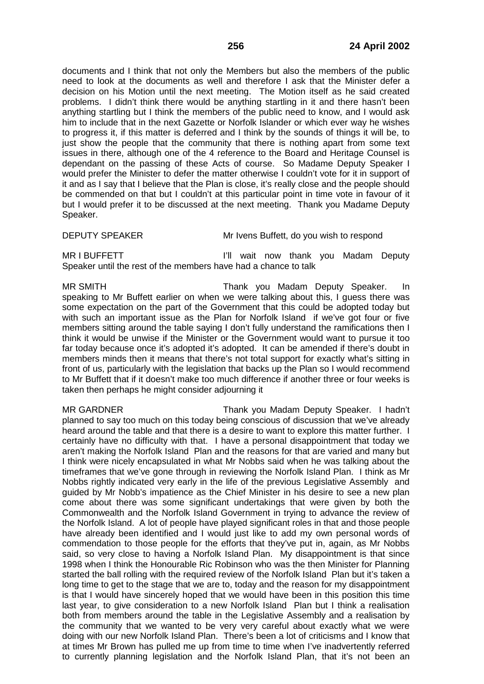documents and I think that not only the Members but also the members of the public need to look at the documents as well and therefore I ask that the Minister defer a decision on his Motion until the next meeting. The Motion itself as he said created problems. I didn't think there would be anything startling in it and there hasn't been anything startling but I think the members of the public need to know, and I would ask him to include that in the next Gazette or Norfolk Islander or which ever way he wishes to progress it, if this matter is deferred and I think by the sounds of things it will be, to just show the people that the community that there is nothing apart from some text issues in there, although one of the 4 reference to the Board and Heritage Counsel is dependant on the passing of these Acts of course. So Madame Deputy Speaker I would prefer the Minister to defer the matter otherwise I couldn't vote for it in support of it and as I say that I believe that the Plan is close, it's really close and the people should be commended on that but I couldn't at this particular point in time vote in favour of it but I would prefer it to be discussed at the next meeting. Thank you Madame Deputy Speaker.

DEPUTY SPEAKER Mr Ivens Buffett, do you wish to respond

MR I BUFFETT **If a strategies** in the lill wait now thank you Madam Deputy Speaker until the rest of the members have had a chance to talk

MR SMITH Thank you Madam Deputy Speaker. In speaking to Mr Buffett earlier on when we were talking about this, I guess there was some expectation on the part of the Government that this could be adopted today but with such an important issue as the Plan for Norfolk Island if we've got four or five members sitting around the table saying I don't fully understand the ramifications then I think it would be unwise if the Minister or the Government would want to pursue it too far today because once it's adopted it's adopted. It can be amended if there's doubt in members minds then it means that there's not total support for exactly what's sitting in front of us, particularly with the legislation that backs up the Plan so I would recommend to Mr Buffett that if it doesn't make too much difference if another three or four weeks is taken then perhaps he might consider adjourning it

MR GARDNER Thank you Madam Deputy Speaker. I hadn't planned to say too much on this today being conscious of discussion that we've already heard around the table and that there is a desire to want to explore this matter further. I certainly have no difficulty with that. I have a personal disappointment that today we aren't making the Norfolk Island Plan and the reasons for that are varied and many but I think were nicely encapsulated in what Mr Nobbs said when he was talking about the timeframes that we've gone through in reviewing the Norfolk Island Plan. I think as Mr Nobbs rightly indicated very early in the life of the previous Legislative Assembly and guided by Mr Nobb's impatience as the Chief Minister in his desire to see a new plan come about there was some significant undertakings that were given by both the Commonwealth and the Norfolk Island Government in trying to advance the review of the Norfolk Island. A lot of people have played significant roles in that and those people have already been identified and I would just like to add my own personal words of commendation to those people for the efforts that they've put in, again, as Mr Nobbs said, so very close to having a Norfolk Island Plan. My disappointment is that since 1998 when I think the Honourable Ric Robinson who was the then Minister for Planning started the ball rolling with the required review of the Norfolk Island Plan but it's taken a long time to get to the stage that we are to, today and the reason for my disappointment is that I would have sincerely hoped that we would have been in this position this time last year, to give consideration to a new Norfolk Island Plan but I think a realisation both from members around the table in the Legislative Assembly and a realisation by the community that we wanted to be very very careful about exactly what we were doing with our new Norfolk Island Plan. There's been a lot of criticisms and I know that at times Mr Brown has pulled me up from time to time when I've inadvertently referred to currently planning legislation and the Norfolk Island Plan, that it's not been an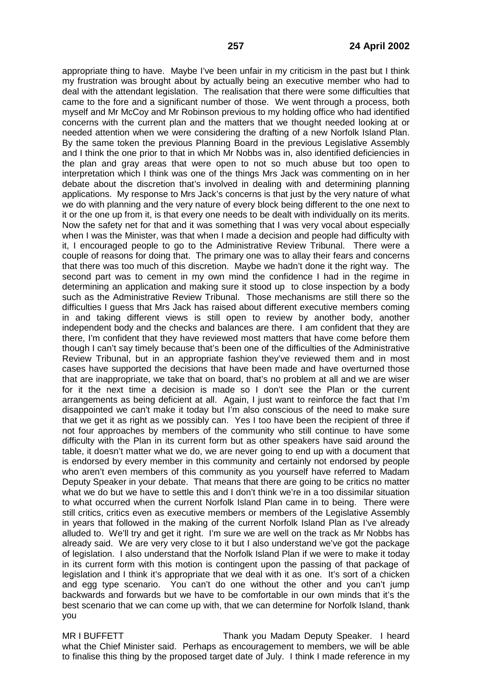appropriate thing to have. Maybe I've been unfair in my criticism in the past but I think my frustration was brought about by actually being an executive member who had to deal with the attendant legislation. The realisation that there were some difficulties that came to the fore and a significant number of those. We went through a process, both myself and Mr McCoy and Mr Robinson previous to my holding office who had identified concerns with the current plan and the matters that we thought needed looking at or needed attention when we were considering the drafting of a new Norfolk Island Plan. By the same token the previous Planning Board in the previous Legislative Assembly and I think the one prior to that in which Mr Nobbs was in, also identified deficiencies in the plan and gray areas that were open to not so much abuse but too open to interpretation which I think was one of the things Mrs Jack was commenting on in her debate about the discretion that's involved in dealing with and determining planning applications. My response to Mrs Jack's concerns is that just by the very nature of what we do with planning and the very nature of every block being different to the one next to it or the one up from it, is that every one needs to be dealt with individually on its merits. Now the safety net for that and it was something that I was very vocal about especially when I was the Minister, was that when I made a decision and people had difficulty with it, I encouraged people to go to the Administrative Review Tribunal. There were a couple of reasons for doing that. The primary one was to allay their fears and concerns that there was too much of this discretion. Maybe we hadn't done it the right way. The second part was to cement in my own mind the confidence I had in the regime in determining an application and making sure it stood up to close inspection by a body such as the Administrative Review Tribunal. Those mechanisms are still there so the difficulties I guess that Mrs Jack has raised about different executive members coming in and taking different views is still open to review by another body, another independent body and the checks and balances are there. I am confident that they are there, I'm confident that they have reviewed most matters that have come before them though I can't say timely because that's been one of the difficulties of the Administrative Review Tribunal, but in an appropriate fashion they've reviewed them and in most cases have supported the decisions that have been made and have overturned those that are inappropriate, we take that on board, that's no problem at all and we are wiser for it the next time a decision is made so I don't see the Plan or the current arrangements as being deficient at all. Again, I just want to reinforce the fact that I'm disappointed we can't make it today but I'm also conscious of the need to make sure that we get it as right as we possibly can. Yes I too have been the recipient of three if not four approaches by members of the community who still continue to have some difficulty with the Plan in its current form but as other speakers have said around the table, it doesn't matter what we do, we are never going to end up with a document that is endorsed by every member in this community and certainly not endorsed by people who aren't even members of this community as you yourself have referred to Madam Deputy Speaker in your debate. That means that there are going to be critics no matter what we do but we have to settle this and I don't think we're in a too dissimilar situation to what occurred when the current Norfolk Island Plan came in to being. There were still critics, critics even as executive members or members of the Legislative Assembly in years that followed in the making of the current Norfolk Island Plan as I've already alluded to. We'll try and get it right. I'm sure we are well on the track as Mr Nobbs has already said. We are very very close to it but I also understand we've got the package of legislation. I also understand that the Norfolk Island Plan if we were to make it today in its current form with this motion is contingent upon the passing of that package of legislation and I think it's appropriate that we deal with it as one. It's sort of a chicken and egg type scenario. You can't do one without the other and you can't jump backwards and forwards but we have to be comfortable in our own minds that it's the best scenario that we can come up with, that we can determine for Norfolk Island, thank you

MR I BUFFETT THANK YOU Madam Deputy Speaker. I heard what the Chief Minister said. Perhaps as encouragement to members, we will be able to finalise this thing by the proposed target date of July. I think I made reference in my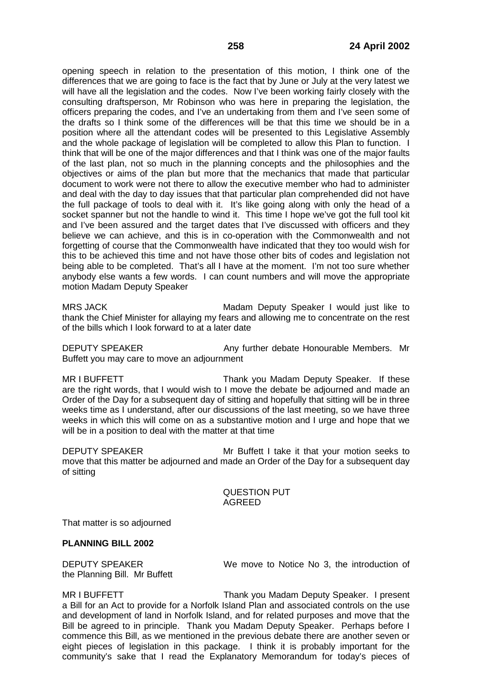opening speech in relation to the presentation of this motion, I think one of the differences that we are going to face is the fact that by June or July at the very latest we will have all the legislation and the codes. Now I've been working fairly closely with the consulting draftsperson, Mr Robinson who was here in preparing the legislation, the officers preparing the codes, and I've an undertaking from them and I've seen some of the drafts so I think some of the differences will be that this time we should be in a position where all the attendant codes will be presented to this Legislative Assembly and the whole package of legislation will be completed to allow this Plan to function. I think that will be one of the major differences and that I think was one of the major faults of the last plan, not so much in the planning concepts and the philosophies and the objectives or aims of the plan but more that the mechanics that made that particular document to work were not there to allow the executive member who had to administer and deal with the day to day issues that that particular plan comprehended did not have the full package of tools to deal with it. It's like going along with only the head of a socket spanner but not the handle to wind it. This time I hope we've got the full tool kit and I've been assured and the target dates that I've discussed with officers and they believe we can achieve, and this is in co-operation with the Commonwealth and not forgetting of course that the Commonwealth have indicated that they too would wish for this to be achieved this time and not have those other bits of codes and legislation not being able to be completed. That's all I have at the moment. I'm not too sure whether anybody else wants a few words. I can count numbers and will move the appropriate motion Madam Deputy Speaker

MRS JACK Madam Deputy Speaker I would just like to thank the Chief Minister for allaying my fears and allowing me to concentrate on the rest of the bills which I look forward to at a later date

DEPUTY SPEAKER Any further debate Honourable Members. Mr Buffett you may care to move an adjournment

MR I BUFFETT THE STEAD Thank you Madam Deputy Speaker. If these are the right words, that I would wish to I move the debate be adjourned and made an Order of the Day for a subsequent day of sitting and hopefully that sitting will be in three weeks time as I understand, after our discussions of the last meeting, so we have three weeks in which this will come on as a substantive motion and I urge and hope that we will be in a position to deal with the matter at that time

DEPUTY SPEAKER Mr Buffett I take it that your motion seeks to move that this matter be adjourned and made an Order of the Day for a subsequent day of sitting

> QUESTION PUT AGREED

That matter is so adjourned

## **PLANNING BILL 2002**

the Planning Bill. Mr Buffett

DEPUTY SPEAKER We move to Notice No 3, the introduction of

MR I BUFFETT THE STREET THANK YOU Madam Deputy Speaker. I present a Bill for an Act to provide for a Norfolk Island Plan and associated controls on the use and development of land in Norfolk Island, and for related purposes and move that the Bill be agreed to in principle. Thank you Madam Deputy Speaker. Perhaps before I commence this Bill, as we mentioned in the previous debate there are another seven or eight pieces of legislation in this package. I think it is probably important for the community's sake that I read the Explanatory Memorandum for today's pieces of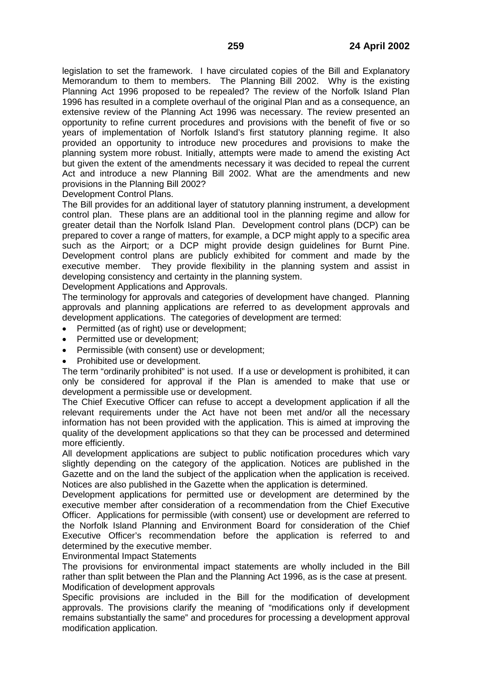legislation to set the framework. I have circulated copies of the Bill and Explanatory Memorandum to them to members. The Planning Bill 2002. Why is the existing Planning Act 1996 proposed to be repealed? The review of the Norfolk Island Plan 1996 has resulted in a complete overhaul of the original Plan and as a consequence, an extensive review of the Planning Act 1996 was necessary. The review presented an opportunity to refine current procedures and provisions with the benefit of five or so years of implementation of Norfolk Island's first statutory planning regime. It also provided an opportunity to introduce new procedures and provisions to make the planning system more robust. Initially, attempts were made to amend the existing Act but given the extent of the amendments necessary it was decided to repeal the current Act and introduce a new Planning Bill 2002. What are the amendments and new provisions in the Planning Bill 2002?

Development Control Plans.

The Bill provides for an additional layer of statutory planning instrument, a development control plan. These plans are an additional tool in the planning regime and allow for greater detail than the Norfolk Island Plan. Development control plans (DCP) can be prepared to cover a range of matters, for example, a DCP might apply to a specific area such as the Airport; or a DCP might provide design guidelines for Burnt Pine. Development control plans are publicly exhibited for comment and made by the executive member. They provide flexibility in the planning system and assist in developing consistency and certainty in the planning system.

Development Applications and Approvals.

The terminology for approvals and categories of development have changed. Planning approvals and planning applications are referred to as development approvals and development applications. The categories of development are termed:

- Permitted (as of right) use or development;
- Permitted use or development;
- Permissible (with consent) use or development;
- Prohibited use or development.

The term "ordinarily prohibited" is not used. If a use or development is prohibited, it can only be considered for approval if the Plan is amended to make that use or development a permissible use or development.

The Chief Executive Officer can refuse to accept a development application if all the relevant requirements under the Act have not been met and/or all the necessary information has not been provided with the application. This is aimed at improving the quality of the development applications so that they can be processed and determined more efficiently.

All development applications are subject to public notification procedures which vary slightly depending on the category of the application. Notices are published in the Gazette and on the land the subject of the application when the application is received. Notices are also published in the Gazette when the application is determined.

Development applications for permitted use or development are determined by the executive member after consideration of a recommendation from the Chief Executive Officer. Applications for permissible (with consent) use or development are referred to the Norfolk Island Planning and Environment Board for consideration of the Chief Executive Officer's recommendation before the application is referred to and determined by the executive member.

Environmental Impact Statements

The provisions for environmental impact statements are wholly included in the Bill rather than split between the Plan and the Planning Act 1996, as is the case at present. Modification of development approvals

Specific provisions are included in the Bill for the modification of development approvals. The provisions clarify the meaning of "modifications only if development remains substantially the same" and procedures for processing a development approval modification application.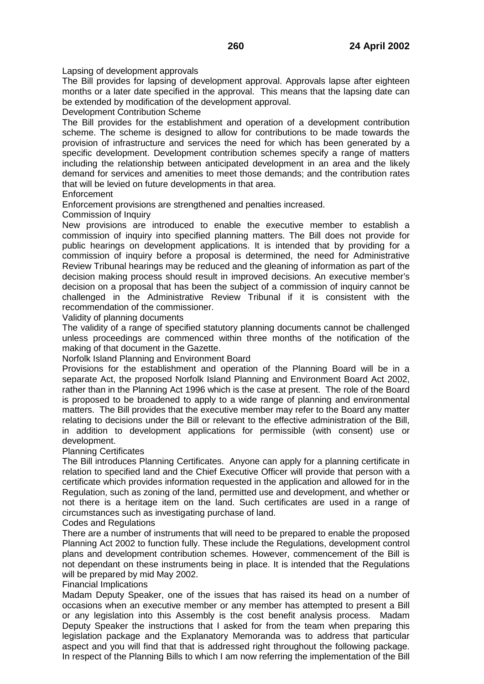Lapsing of development approvals

The Bill provides for lapsing of development approval. Approvals lapse after eighteen months or a later date specified in the approval. This means that the lapsing date can be extended by modification of the development approval.

Development Contribution Scheme

The Bill provides for the establishment and operation of a development contribution scheme. The scheme is designed to allow for contributions to be made towards the provision of infrastructure and services the need for which has been generated by a specific development. Development contribution schemes specify a range of matters including the relationship between anticipated development in an area and the likely demand for services and amenities to meet those demands; and the contribution rates that will be levied on future developments in that area.

Enforcement

Enforcement provisions are strengthened and penalties increased.

Commission of Inquiry

New provisions are introduced to enable the executive member to establish a commission of inquiry into specified planning matters. The Bill does not provide for public hearings on development applications. It is intended that by providing for a commission of inquiry before a proposal is determined, the need for Administrative Review Tribunal hearings may be reduced and the gleaning of information as part of the decision making process should result in improved decisions. An executive member's decision on a proposal that has been the subject of a commission of inquiry cannot be challenged in the Administrative Review Tribunal if it is consistent with the recommendation of the commissioner.

Validity of planning documents

The validity of a range of specified statutory planning documents cannot be challenged unless proceedings are commenced within three months of the notification of the making of that document in the Gazette.

Norfolk Island Planning and Environment Board

Provisions for the establishment and operation of the Planning Board will be in a separate Act, the proposed Norfolk Island Planning and Environment Board Act 2002, rather than in the Planning Act 1996 which is the case at present. The role of the Board is proposed to be broadened to apply to a wide range of planning and environmental matters. The Bill provides that the executive member may refer to the Board any matter relating to decisions under the Bill or relevant to the effective administration of the Bill, in addition to development applications for permissible (with consent) use or development.

## Planning Certificates

The Bill introduces Planning Certificates. Anyone can apply for a planning certificate in relation to specified land and the Chief Executive Officer will provide that person with a certificate which provides information requested in the application and allowed for in the Regulation, such as zoning of the land, permitted use and development, and whether or not there is a heritage item on the land. Such certificates are used in a range of circumstances such as investigating purchase of land.

## Codes and Regulations

There are a number of instruments that will need to be prepared to enable the proposed Planning Act 2002 to function fully. These include the Regulations, development control plans and development contribution schemes. However, commencement of the Bill is not dependant on these instruments being in place. It is intended that the Regulations will be prepared by mid May 2002.

# Financial Implications

Madam Deputy Speaker, one of the issues that has raised its head on a number of occasions when an executive member or any member has attempted to present a Bill or any legislation into this Assembly is the cost benefit analysis process. Madam Deputy Speaker the instructions that I asked for from the team when preparing this legislation package and the Explanatory Memoranda was to address that particular aspect and you will find that that is addressed right throughout the following package. In respect of the Planning Bills to which I am now referring the implementation of the Bill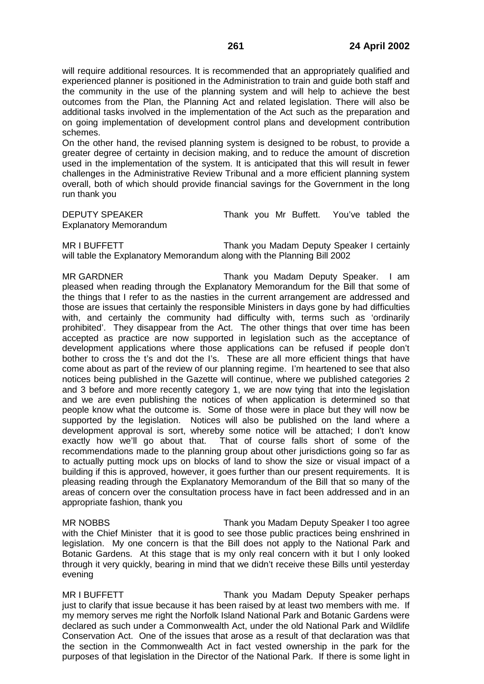will require additional resources. It is recommended that an appropriately qualified and experienced planner is positioned in the Administration to train and guide both staff and the community in the use of the planning system and will help to achieve the best outcomes from the Plan, the Planning Act and related legislation. There will also be additional tasks involved in the implementation of the Act such as the preparation and on going implementation of development control plans and development contribution schemes.

On the other hand, the revised planning system is designed to be robust, to provide a greater degree of certainty in decision making, and to reduce the amount of discretion used in the implementation of the system. It is anticipated that this will result in fewer challenges in the Administrative Review Tribunal and a more efficient planning system overall, both of which should provide financial savings for the Government in the long run thank you

DEPUTY SPEAKER Thank you Mr Buffett. You've tabled the Explanatory Memorandum

MR I BUFFETT THANK you Madam Deputy Speaker I certainly will table the Explanatory Memorandum along with the Planning Bill 2002

MR GARDNER Thank you Madam Deputy Speaker. I am pleased when reading through the Explanatory Memorandum for the Bill that some of the things that I refer to as the nasties in the current arrangement are addressed and those are issues that certainly the responsible Ministers in days gone by had difficulties with, and certainly the community had difficulty with, terms such as 'ordinarily prohibited'. They disappear from the Act. The other things that over time has been accepted as practice are now supported in legislation such as the acceptance of development applications where those applications can be refused if people don't bother to cross the t's and dot the I's. These are all more efficient things that have come about as part of the review of our planning regime. I'm heartened to see that also notices being published in the Gazette will continue, where we published categories 2 and 3 before and more recently category 1, we are now tying that into the legislation and we are even publishing the notices of when application is determined so that people know what the outcome is. Some of those were in place but they will now be supported by the legislation. Notices will also be published on the land where a development approval is sort, whereby some notice will be attached; I don't know exactly how we'll go about that. That of course falls short of some of the recommendations made to the planning group about other jurisdictions going so far as to actually putting mock ups on blocks of land to show the size or visual impact of a building if this is approved, however, it goes further than our present requirements. It is pleasing reading through the Explanatory Memorandum of the Bill that so many of the areas of concern over the consultation process have in fact been addressed and in an appropriate fashion, thank you

MR NOBBS Thank you Madam Deputy Speaker I too agree with the Chief Minister that it is good to see those public practices being enshrined in legislation. My one concern is that the Bill does not apply to the National Park and Botanic Gardens. At this stage that is my only real concern with it but I only looked through it very quickly, bearing in mind that we didn't receive these Bills until yesterday evening

MR I BUFFETT THE STREAM Thank you Madam Deputy Speaker perhaps just to clarify that issue because it has been raised by at least two members with me. If my memory serves me right the Norfolk Island National Park and Botanic Gardens were declared as such under a Commonwealth Act, under the old National Park and Wildlife Conservation Act. One of the issues that arose as a result of that declaration was that the section in the Commonwealth Act in fact vested ownership in the park for the purposes of that legislation in the Director of the National Park. If there is some light in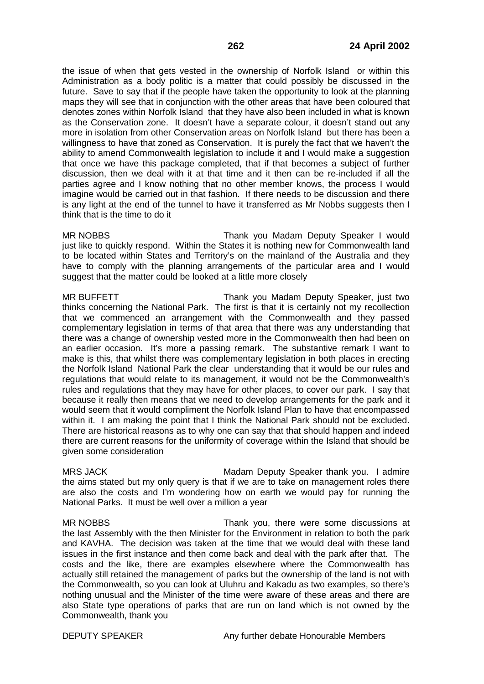the issue of when that gets vested in the ownership of Norfolk Island or within this Administration as a body politic is a matter that could possibly be discussed in the future. Save to say that if the people have taken the opportunity to look at the planning maps they will see that in conjunction with the other areas that have been coloured that denotes zones within Norfolk Island that they have also been included in what is known as the Conservation zone. It doesn't have a separate colour, it doesn't stand out any more in isolation from other Conservation areas on Norfolk Island but there has been a willingness to have that zoned as Conservation. It is purely the fact that we haven't the ability to amend Commonwealth legislation to include it and I would make a suggestion that once we have this package completed, that if that becomes a subject of further discussion, then we deal with it at that time and it then can be re-included if all the parties agree and I know nothing that no other member knows, the process I would imagine would be carried out in that fashion. If there needs to be discussion and there is any light at the end of the tunnel to have it transferred as Mr Nobbs suggests then I think that is the time to do it

MR NOBBS **Thank you Madam Deputy Speaker I would** just like to quickly respond. Within the States it is nothing new for Commonwealth land to be located within States and Territory's on the mainland of the Australia and they have to comply with the planning arrangements of the particular area and I would suggest that the matter could be looked at a little more closely

MR BUFFETT THE THANK you Madam Deputy Speaker, just two thinks concerning the National Park. The first is that it is certainly not my recollection that we commenced an arrangement with the Commonwealth and they passed complementary legislation in terms of that area that there was any understanding that there was a change of ownership vested more in the Commonwealth then had been on an earlier occasion. It's more a passing remark. The substantive remark I want to make is this, that whilst there was complementary legislation in both places in erecting the Norfolk Island National Park the clear understanding that it would be our rules and regulations that would relate to its management, it would not be the Commonwealth's rules and regulations that they may have for other places, to cover our park. I say that because it really then means that we need to develop arrangements for the park and it would seem that it would compliment the Norfolk Island Plan to have that encompassed within it. I am making the point that I think the National Park should not be excluded. There are historical reasons as to why one can say that that should happen and indeed there are current reasons for the uniformity of coverage within the Island that should be given some consideration

MRS JACK Madam Deputy Speaker thank you. I admire the aims stated but my only query is that if we are to take on management roles there are also the costs and I'm wondering how on earth we would pay for running the National Parks. It must be well over a million a year

MR NOBBS Thank you, there were some discussions at the last Assembly with the then Minister for the Environment in relation to both the park and KAVHA. The decision was taken at the time that we would deal with these land issues in the first instance and then come back and deal with the park after that. The costs and the like, there are examples elsewhere where the Commonwealth has actually still retained the management of parks but the ownership of the land is not with the Commonwealth, so you can look at Uluhru and Kakadu as two examples, so there's nothing unusual and the Minister of the time were aware of these areas and there are also State type operations of parks that are run on land which is not owned by the Commonwealth, thank you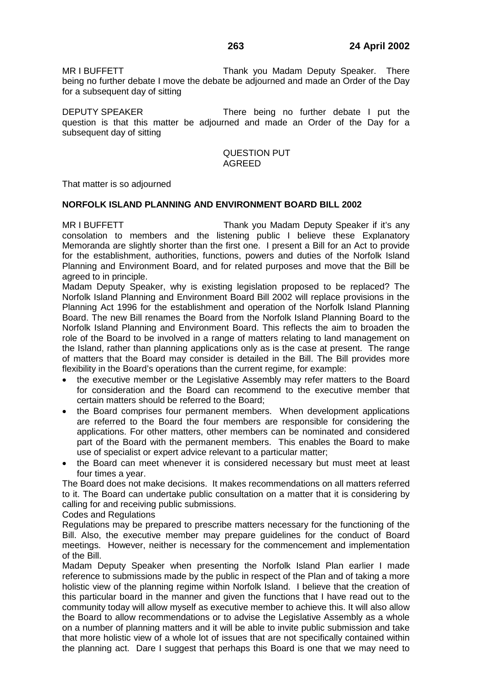MR I BUFFETT THANG THANK you Madam Deputy Speaker. There being no further debate I move the debate be adjourned and made an Order of the Day for a subsequent day of sitting

DEPUTY SPEAKER There being no further debate I put the question is that this matter be adjourned and made an Order of the Day for a subsequent day of sitting

### QUESTION PUT AGREED

That matter is so adjourned

### **NORFOLK ISLAND PLANNING AND ENVIRONMENT BOARD BILL 2002**

MR I BUFFETT THE THANK you Madam Deputy Speaker if it's any consolation to members and the listening public I believe these Explanatory Memoranda are slightly shorter than the first one. I present a Bill for an Act to provide for the establishment, authorities, functions, powers and duties of the Norfolk Island Planning and Environment Board, and for related purposes and move that the Bill be agreed to in principle.

Madam Deputy Speaker, why is existing legislation proposed to be replaced? The Norfolk Island Planning and Environment Board Bill 2002 will replace provisions in the Planning Act 1996 for the establishment and operation of the Norfolk Island Planning Board. The new Bill renames the Board from the Norfolk Island Planning Board to the Norfolk Island Planning and Environment Board. This reflects the aim to broaden the role of the Board to be involved in a range of matters relating to land management on the Island, rather than planning applications only as is the case at present. The range of matters that the Board may consider is detailed in the Bill. The Bill provides more flexibility in the Board's operations than the current regime, for example:

- the executive member or the Legislative Assembly may refer matters to the Board for consideration and the Board can recommend to the executive member that certain matters should be referred to the Board;
- the Board comprises four permanent members. When development applications are referred to the Board the four members are responsible for considering the applications. For other matters, other members can be nominated and considered part of the Board with the permanent members. This enables the Board to make use of specialist or expert advice relevant to a particular matter;
- the Board can meet whenever it is considered necessary but must meet at least four times a year.

The Board does not make decisions. It makes recommendations on all matters referred to it. The Board can undertake public consultation on a matter that it is considering by calling for and receiving public submissions.

#### Codes and Regulations

Regulations may be prepared to prescribe matters necessary for the functioning of the Bill. Also, the executive member may prepare guidelines for the conduct of Board meetings. However, neither is necessary for the commencement and implementation of the Bill.

Madam Deputy Speaker when presenting the Norfolk Island Plan earlier I made reference to submissions made by the public in respect of the Plan and of taking a more holistic view of the planning regime within Norfolk Island. I believe that the creation of this particular board in the manner and given the functions that I have read out to the community today will allow myself as executive member to achieve this. It will also allow the Board to allow recommendations or to advise the Legislative Assembly as a whole on a number of planning matters and it will be able to invite public submission and take that more holistic view of a whole lot of issues that are not specifically contained within the planning act. Dare I suggest that perhaps this Board is one that we may need to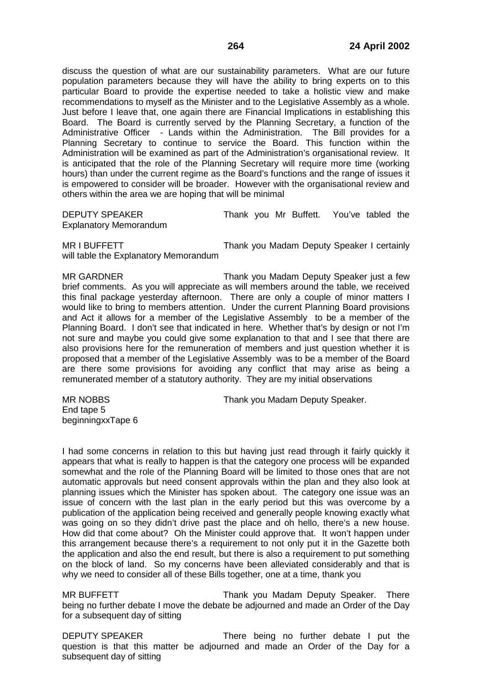discuss the question of what are our sustainability parameters. What are our future population parameters because they will have the ability to bring experts on to this particular Board to provide the expertise needed to take a holistic view and make recommendations to myself as the Minister and to the Legislative Assembly as a whole. Just before I leave that, one again there are Financial Implications in establishing this Board. The Board is currently served by the Planning Secretary, a function of the Administrative Officer - Lands within the Administration. The Bill provides for a Planning Secretary to continue to service the Board. This function within the Administration will be examined as part of the Administration's organisational review. It is anticipated that the role of the Planning Secretary will require more time (working hours) than under the current regime as the Board's functions and the range of issues it is empowered to consider will be broader. However with the organisational review and others within the area we are hoping that will be minimal

DEPUTY SPEAKER Thank you Mr Buffett. You've tabled the Explanatory Memorandum

MR I BUFFETT THE THANK YOU Madam Deputy Speaker I certainly will table the Explanatory Memorandum

MR GARDNER Thank you Madam Deputy Speaker just a few brief comments. As you will appreciate as will members around the table, we received this final package yesterday afternoon. There are only a couple of minor matters I would like to bring to members attention. Under the current Planning Board provisions and Act it allows for a member of the Legislative Assembly to be a member of the Planning Board. I don't see that indicated in here. Whether that's by design or not I'm not sure and maybe you could give some explanation to that and I see that there are also provisions here for the remuneration of members and just question whether it is proposed that a member of the Legislative Assembly was to be a member of the Board are there some provisions for avoiding any conflict that may arise as being a remunerated member of a statutory authority. They are my initial observations

End tape 5 beginningxxTape 6

MR NOBBS Thank you Madam Deputy Speaker.

I had some concerns in relation to this but having just read through it fairly quickly it appears that what is really to happen is that the category one process will be expanded somewhat and the role of the Planning Board will be limited to those ones that are not automatic approvals but need consent approvals within the plan and they also look at planning issues which the Minister has spoken about. The category one issue was an issue of concern with the last plan in the early period but this was overcome by a publication of the application being received and generally people knowing exactly what was going on so they didn't drive past the place and oh hello, there's a new house. How did that come about? Oh the Minister could approve that. It won't happen under this arrangement because there's a requirement to not only put it in the Gazette both the application and also the end result, but there is also a requirement to put something on the block of land. So my concerns have been alleviated considerably and that is why we need to consider all of these Bills together, one at a time, thank you

MR BUFFETT THANGER Thank you Madam Deputy Speaker. There being no further debate I move the debate be adjourned and made an Order of the Day for a subsequent day of sitting

DEPUTY SPEAKER There being no further debate I put the question is that this matter be adjourned and made an Order of the Day for a subsequent day of sitting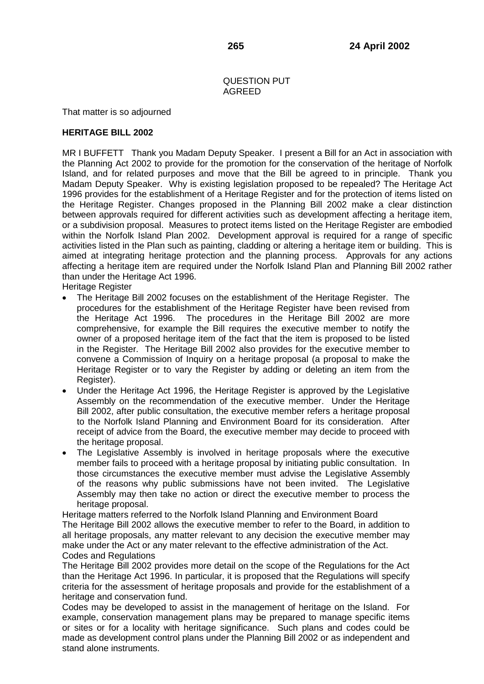# QUESTION PUT AGREED

That matter is so adjourned

# **HERITAGE BILL 2002**

MR I BUFFETT Thank you Madam Deputy Speaker. I present a Bill for an Act in association with the Planning Act 2002 to provide for the promotion for the conservation of the heritage of Norfolk Island, and for related purposes and move that the Bill be agreed to in principle. Thank you Madam Deputy Speaker. Why is existing legislation proposed to be repealed? The Heritage Act 1996 provides for the establishment of a Heritage Register and for the protection of items listed on the Heritage Register. Changes proposed in the Planning Bill 2002 make a clear distinction between approvals required for different activities such as development affecting a heritage item, or a subdivision proposal. Measures to protect items listed on the Heritage Register are embodied within the Norfolk Island Plan 2002. Development approval is required for a range of specific activities listed in the Plan such as painting, cladding or altering a heritage item or building. This is aimed at integrating heritage protection and the planning process. Approvals for any actions affecting a heritage item are required under the Norfolk Island Plan and Planning Bill 2002 rather than under the Heritage Act 1996.

Heritage Register

- The Heritage Bill 2002 focuses on the establishment of the Heritage Register. The procedures for the establishment of the Heritage Register have been revised from the Heritage Act 1996. The procedures in the Heritage Bill 2002 are more comprehensive, for example the Bill requires the executive member to notify the owner of a proposed heritage item of the fact that the item is proposed to be listed in the Register. The Heritage Bill 2002 also provides for the executive member to convene a Commission of Inquiry on a heritage proposal (a proposal to make the Heritage Register or to vary the Register by adding or deleting an item from the Register).
- Under the Heritage Act 1996, the Heritage Register is approved by the Legislative Assembly on the recommendation of the executive member. Under the Heritage Bill 2002, after public consultation, the executive member refers a heritage proposal to the Norfolk Island Planning and Environment Board for its consideration. After receipt of advice from the Board, the executive member may decide to proceed with the heritage proposal.
- The Legislative Assembly is involved in heritage proposals where the executive member fails to proceed with a heritage proposal by initiating public consultation. In those circumstances the executive member must advise the Legislative Assembly of the reasons why public submissions have not been invited. The Legislative Assembly may then take no action or direct the executive member to process the heritage proposal.

Heritage matters referred to the Norfolk Island Planning and Environment Board The Heritage Bill 2002 allows the executive member to refer to the Board, in addition to all heritage proposals, any matter relevant to any decision the executive member may make under the Act or any mater relevant to the effective administration of the Act. Codes and Regulations

The Heritage Bill 2002 provides more detail on the scope of the Regulations for the Act than the Heritage Act 1996. In particular, it is proposed that the Regulations will specify criteria for the assessment of heritage proposals and provide for the establishment of a heritage and conservation fund.

Codes may be developed to assist in the management of heritage on the Island. For example, conservation management plans may be prepared to manage specific items or sites or for a locality with heritage significance. Such plans and codes could be made as development control plans under the Planning Bill 2002 or as independent and stand alone instruments.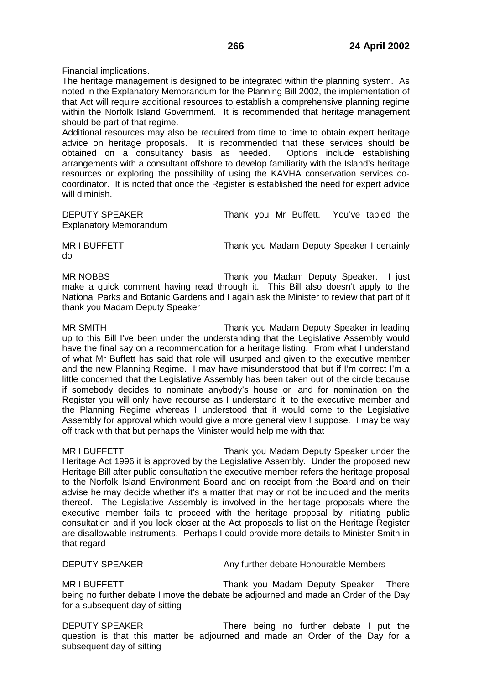Financial implications.

The heritage management is designed to be integrated within the planning system. As noted in the Explanatory Memorandum for the Planning Bill 2002, the implementation of that Act will require additional resources to establish a comprehensive planning regime within the Norfolk Island Government. It is recommended that heritage management should be part of that regime.

Additional resources may also be required from time to time to obtain expert heritage advice on heritage proposals. It is recommended that these services should be obtained on a consultancy basis as needed. Options include establishing arrangements with a consultant offshore to develop familiarity with the Island's heritage resources or exploring the possibility of using the KAVHA conservation services cocoordinator. It is noted that once the Register is established the need for expert advice will diminish.

DEPUTY SPEAKER Thank you Mr Buffett. You've tabled the Explanatory Memorandum

do

MR I BUFFETT THE THANK YOU Madam Deputy Speaker I certainly

MR NOBBS **Thank you Madam Deputy Speaker.** I just make a quick comment having read through it. This Bill also doesn't apply to the National Parks and Botanic Gardens and I again ask the Minister to review that part of it thank you Madam Deputy Speaker

MR SMITH Thank you Madam Deputy Speaker in leading up to this Bill I've been under the understanding that the Legislative Assembly would have the final say on a recommendation for a heritage listing. From what I understand of what Mr Buffett has said that role will usurped and given to the executive member and the new Planning Regime. I may have misunderstood that but if I'm correct I'm a little concerned that the Legislative Assembly has been taken out of the circle because if somebody decides to nominate anybody's house or land for nomination on the Register you will only have recourse as I understand it, to the executive member and the Planning Regime whereas I understood that it would come to the Legislative Assembly for approval which would give a more general view I suppose. I may be way off track with that but perhaps the Minister would help me with that

MR I BUFFETT THE STATE Thank you Madam Deputy Speaker under the Heritage Act 1996 it is approved by the Legislative Assembly. Under the proposed new Heritage Bill after public consultation the executive member refers the heritage proposal to the Norfolk Island Environment Board and on receipt from the Board and on their advise he may decide whether it's a matter that may or not be included and the merits thereof. The Legislative Assembly is involved in the heritage proposals where the executive member fails to proceed with the heritage proposal by initiating public consultation and if you look closer at the Act proposals to list on the Heritage Register are disallowable instruments. Perhaps I could provide more details to Minister Smith in that regard

DEPUTY SPEAKER Any further debate Honourable Members

MR I BUFFETT THANGER THANK you Madam Deputy Speaker. There being no further debate I move the debate be adjourned and made an Order of the Day for a subsequent day of sitting

DEPUTY SPEAKER There being no further debate I put the question is that this matter be adjourned and made an Order of the Day for a subsequent day of sitting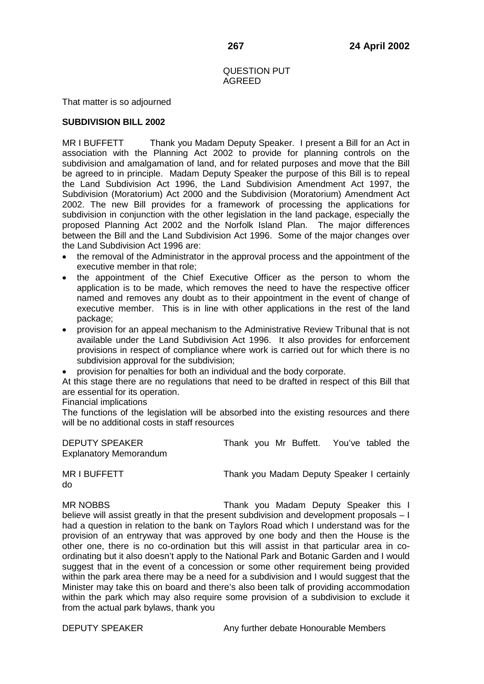### QUESTION PUT AGREED

That matter is so adjourned

# **SUBDIVISION BILL 2002**

MR I BUFFETT Thank you Madam Deputy Speaker. I present a Bill for an Act in association with the Planning Act 2002 to provide for planning controls on the subdivision and amalgamation of land, and for related purposes and move that the Bill be agreed to in principle. Madam Deputy Speaker the purpose of this Bill is to repeal the Land Subdivision Act 1996, the Land Subdivision Amendment Act 1997, the Subdivision (Moratorium) Act 2000 and the Subdivision (Moratorium) Amendment Act 2002. The new Bill provides for a framework of processing the applications for subdivision in conjunction with the other legislation in the land package, especially the proposed Planning Act 2002 and the Norfolk Island Plan. The major differences between the Bill and the Land Subdivision Act 1996. Some of the major changes over the Land Subdivision Act 1996 are:

- the removal of the Administrator in the approval process and the appointment of the executive member in that role;
- the appointment of the Chief Executive Officer as the person to whom the application is to be made, which removes the need to have the respective officer named and removes any doubt as to their appointment in the event of change of executive member. This is in line with other applications in the rest of the land package;
- provision for an appeal mechanism to the Administrative Review Tribunal that is not available under the Land Subdivision Act 1996. It also provides for enforcement provisions in respect of compliance where work is carried out for which there is no subdivision approval for the subdivision;
- provision for penalties for both an individual and the body corporate.

At this stage there are no regulations that need to be drafted in respect of this Bill that are essential for its operation.

## Financial implications

The functions of the legislation will be absorbed into the existing resources and there will be no additional costs in staff resources

| <b>DEPUTY SPEAKER</b>         |  | Thank you Mr Buffett. You've tabled the |  |  |
|-------------------------------|--|-----------------------------------------|--|--|
| <b>Explanatory Memorandum</b> |  |                                         |  |  |

MR I BUFFETT THE THANK you Madam Deputy Speaker I certainly do

MR NOBBS Thank you Madam Deputy Speaker this I believe will assist greatly in that the present subdivision and development proposals – I had a question in relation to the bank on Taylors Road which I understand was for the provision of an entryway that was approved by one body and then the House is the other one, there is no co-ordination but this will assist in that particular area in coordinating but it also doesn't apply to the National Park and Botanic Garden and I would suggest that in the event of a concession or some other requirement being provided within the park area there may be a need for a subdivision and I would suggest that the Minister may take this on board and there's also been talk of providing accommodation within the park which may also require some provision of a subdivision to exclude it from the actual park bylaws, thank you

DEPUTY SPEAKER Any further debate Honourable Members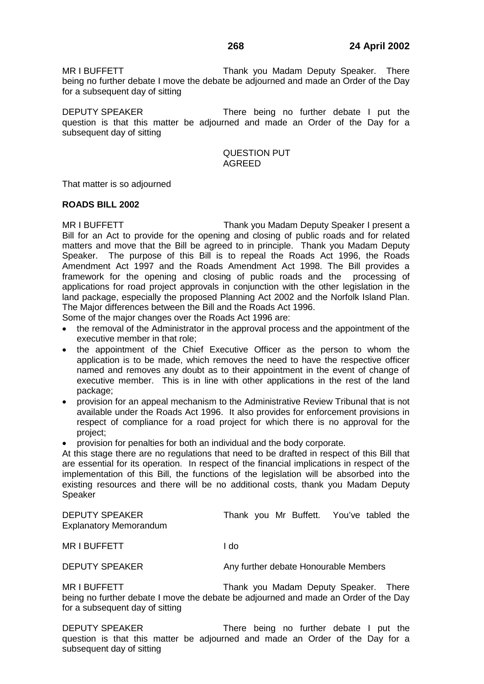MR I BUFFETT THANG THANK you Madam Deputy Speaker. There being no further debate I move the debate be adjourned and made an Order of the Day for a subsequent day of sitting

DEPUTY SPEAKER There being no further debate I put the question is that this matter be adjourned and made an Order of the Day for a subsequent day of sitting

### QUESTION PUT AGREED

That matter is so adjourned

#### **ROADS BILL 2002**

MR I BUFFETT THE THANK YOU Madam Deputy Speaker I present a Bill for an Act to provide for the opening and closing of public roads and for related matters and move that the Bill be agreed to in principle. Thank you Madam Deputy Speaker. The purpose of this Bill is to repeal the Roads Act 1996, the Roads Amendment Act 1997 and the Roads Amendment Act 1998. The Bill provides a framework for the opening and closing of public roads and the processing of applications for road project approvals in conjunction with the other legislation in the land package, especially the proposed Planning Act 2002 and the Norfolk Island Plan. The Major differences between the Bill and the Roads Act 1996.

Some of the major changes over the Roads Act 1996 are:

- the removal of the Administrator in the approval process and the appointment of the executive member in that role;
- the appointment of the Chief Executive Officer as the person to whom the application is to be made, which removes the need to have the respective officer named and removes any doubt as to their appointment in the event of change of executive member. This is in line with other applications in the rest of the land package;
- provision for an appeal mechanism to the Administrative Review Tribunal that is not available under the Roads Act 1996. It also provides for enforcement provisions in respect of compliance for a road project for which there is no approval for the project;
- provision for penalties for both an individual and the body corporate.

At this stage there are no regulations that need to be drafted in respect of this Bill that are essential for its operation. In respect of the financial implications in respect of the implementation of this Bill, the functions of the legislation will be absorbed into the existing resources and there will be no additional costs, thank you Madam Deputy **Speaker** 

| <b>DEPUTY SPEAKER</b><br><b>Explanatory Memorandum</b> | Thank you Mr Buffett. You've tabled the |  |
|--------------------------------------------------------|-----------------------------------------|--|
| MR I BUFFETT                                           | I do                                    |  |

DEPUTY SPEAKER **Any further debate Honourable Members** 

MR I BUFFETT THE THANK you Madam Deputy Speaker. There being no further debate I move the debate be adjourned and made an Order of the Day for a subsequent day of sitting

DEPUTY SPEAKER There being no further debate I put the question is that this matter be adjourned and made an Order of the Day for a subsequent day of sitting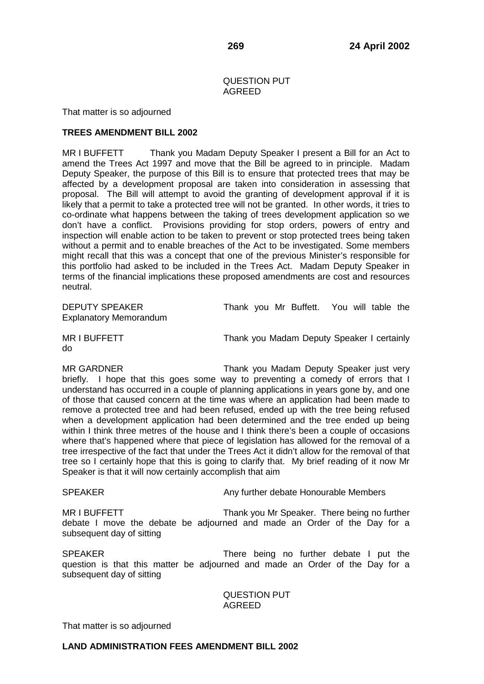# QUESTION PUT AGREED

That matter is so adjourned

## **TREES AMENDMENT BILL 2002**

MR I BUFFETT Thank you Madam Deputy Speaker I present a Bill for an Act to amend the Trees Act 1997 and move that the Bill be agreed to in principle.Madam Deputy Speaker, the purpose of this Bill is to ensure that protected trees that may be affected by a development proposal are taken into consideration in assessing that proposal. The Bill will attempt to avoid the granting of development approval if it is likely that a permit to take a protected tree will not be granted. In other words, it tries to co-ordinate what happens between the taking of trees development application so we don't have a conflict. Provisions providing for stop orders, powers of entry and inspection will enable action to be taken to prevent or stop protected trees being taken without a permit and to enable breaches of the Act to be investigated. Some members might recall that this was a concept that one of the previous Minister's responsible for this portfolio had asked to be included in the Trees Act. Madam Deputy Speaker in terms of the financial implications these proposed amendments are cost and resources neutral.

Explanatory Memorandum

DEPUTY SPEAKER Thank you Mr Buffett. You will table the

do

MR I BUFFETT THE THANK YOU Madam Deputy Speaker I certainly

MR GARDNER Thank you Madam Deputy Speaker just very briefly. I hope that this goes some way to preventing a comedy of errors that I understand has occurred in a couple of planning applications in years gone by, and one of those that caused concern at the time was where an application had been made to remove a protected tree and had been refused, ended up with the tree being refused when a development application had been determined and the tree ended up being within I think three metres of the house and I think there's been a couple of occasions where that's happened where that piece of legislation has allowed for the removal of a tree irrespective of the fact that under the Trees Act it didn't allow for the removal of that tree so I certainly hope that this is going to clarify that. My brief reading of it now Mr Speaker is that it will now certainly accomplish that aim

SPEAKER Any further debate Honourable Members

MR I BUFFETT THANK You Mr Speaker. There being no further debate I move the debate be adjourned and made an Order of the Day for a subsequent day of sitting

SPEAKER There being no further debate I put the question is that this matter be adjourned and made an Order of the Day for a subsequent day of sitting

> QUESTION PUT AGREED

That matter is so adjourned

# **LAND ADMINISTRATION FEES AMENDMENT BILL 2002**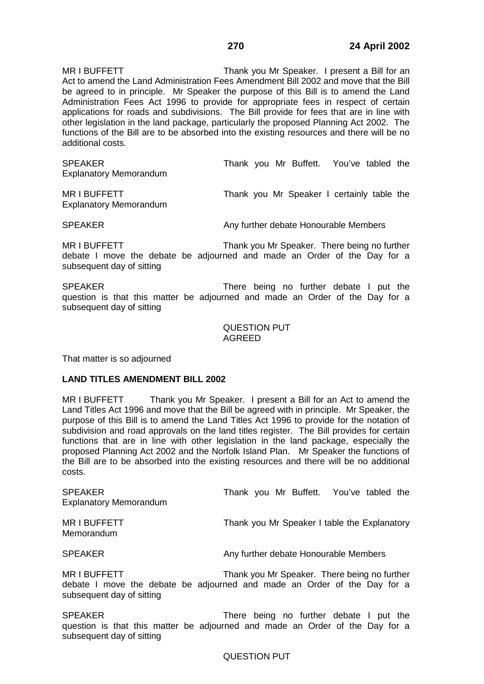MR I BUFFETT THE THANK you Mr Speaker. I present a Bill for an Act to amend the Land Administration Fees Amendment Bill 2002 and move that the Bill be agreed to in principle. Mr Speaker the purpose of this Bill is to amend the Land Administration Fees Act 1996 to provide for appropriate fees in respect of certain applications for roads and subdivisions. The Bill provide for fees that are in line with other legislation in the land package, particularly the proposed Planning Act 2002. The functions of the Bill are to be absorbed into the existing resources and there will be no additional costs.

SPEAKER Thank you Mr Buffett. You've tabled the Explanatory Memorandum

MR I BUFFETT THE THANK you Mr Speaker I certainly table the Explanatory Memorandum

SPEAKER **Any further debate Honourable Members** 

MR I BUFFETT THE THANK YOU Mr Speaker. There being no further debate I move the debate be adjourned and made an Order of the Day for a subsequent day of sitting

SPEAKER There being no further debate I put the question is that this matter be adjourned and made an Order of the Day for a subsequent day of sitting

> QUESTION PUT AGREED

That matter is so adjourned

#### **LAND TITLES AMENDMENT BILL 2002**

MR I BUFFETT Thank you Mr Speaker. I present a Bill for an Act to amend the Land Titles Act 1996 and move that the Bill be agreed with in principle. Mr Speaker, the purpose of this Bill is to amend the Land Titles Act 1996 to provide for the notation of subdivision and road approvals on the land titles register. The Bill provides for certain functions that are in line with other legislation in the land package, especially the proposed Planning Act 2002 and the Norfolk Island Plan. Mr Speaker the functions of the Bill are to be absorbed into the existing resources and there will be no additional costs.

| <b>SPEAKER</b><br><b>Explanatory Memorandum</b> | Thank you Mr Buffett. You've tabled the                                                                                  |
|-------------------------------------------------|--------------------------------------------------------------------------------------------------------------------------|
| <b>MRIBUFFETT</b><br>Memorandum                 | Thank you Mr Speaker I table the Explanatory                                                                             |
| <b>SPEAKER</b>                                  | Any further debate Honourable Members                                                                                    |
| MR I BUFFETT<br>subsequent day of sitting       | Thank you Mr Speaker. There being no further<br>debate I move the debate be adjourned and made an Order of the Day for a |
| <b>SPEAKER</b>                                  | There being no further debate I put the                                                                                  |

There being no further debate I put the question is that this matter be adjourned and made an Order of the Day for a subsequent day of sitting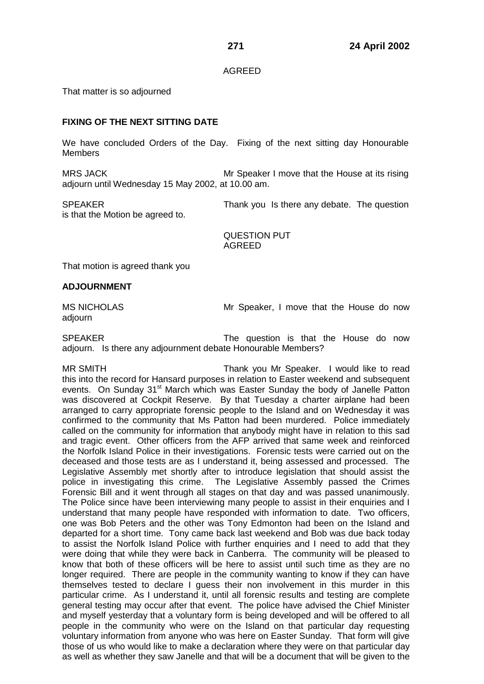### AGREED

That matter is so adjourned

# **FIXING OF THE NEXT SITTING DATE**

We have concluded Orders of the Day. Fixing of the next sitting day Honourable **Members** 

MRS JACK Mr Speaker I move that the House at its rising adjourn until Wednesday 15 May 2002, at 10.00 am.

is that the Motion be agreed to.

SPEAKER Thank you Is there any debate. The question

QUESTION PUT AGREED

That motion is agreed thank you

## **ADJOURNMENT**

adjourn

MS NICHOLAS Mr Speaker, I move that the House do now

SPEAKER The question is that the House do now adjourn. Is there any adjournment debate Honourable Members?

MR SMITH Thank you Mr Speaker. I would like to read this into the record for Hansard purposes in relation to Easter weekend and subsequent events. On Sunday 31<sup>st</sup> March which was Easter Sunday the body of Janelle Patton was discovered at Cockpit Reserve. By that Tuesday a charter airplane had been arranged to carry appropriate forensic people to the Island and on Wednesday it was confirmed to the community that Ms Patton had been murdered. Police immediately called on the community for information that anybody might have in relation to this sad and tragic event. Other officers from the AFP arrived that same week and reinforced the Norfolk Island Police in their investigations. Forensic tests were carried out on the deceased and those tests are as I understand it, being assessed and processed. The Legislative Assembly met shortly after to introduce legislation that should assist the police in investigating this crime. The Legislative Assembly passed the Crimes Forensic Bill and it went through all stages on that day and was passed unanimously. The Police since have been interviewing many people to assist in their enquiries and I understand that many people have responded with information to date. Two officers, one was Bob Peters and the other was Tony Edmonton had been on the Island and departed for a short time. Tony came back last weekend and Bob was due back today to assist the Norfolk Island Police with further enquiries and I need to add that they were doing that while they were back in Canberra. The community will be pleased to know that both of these officers will be here to assist until such time as they are no longer required. There are people in the community wanting to know if they can have themselves tested to declare I guess their non involvement in this murder in this particular crime. As I understand it, until all forensic results and testing are complete general testing may occur after that event. The police have advised the Chief Minister and myself yesterday that a voluntary form is being developed and will be offered to all people in the community who were on the Island on that particular day requesting voluntary information from anyone who was here on Easter Sunday. That form will give those of us who would like to make a declaration where they were on that particular day as well as whether they saw Janelle and that will be a document that will be given to the